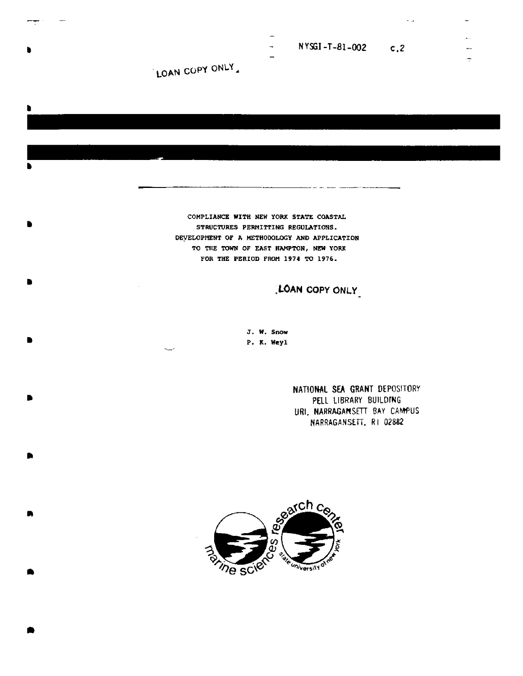NYSGI-T-81-002  $c, 2$ 

LOAN COPY ONLY

COMPLIANCE WITH NEW YORK STATE COASTAL STRUCTURES PERMITTING REGULATIONS. DEVELOPMENT OF A METHODOLOGY AND APPLICATION TO THE TOWN OF EAST HAMPTON, NEW YORK FOR THE PERIOD FROM 1974 TO 1976.

LOAN COPY ONLY

J. W. Snow P. K. Weyl

> NATIONAL SEA GRANT DEPOSITORY PELL LIBRARY BUILDING URI, NARRAGANSETT BAY CAMPUS NARRAGANSETT, RI 02882

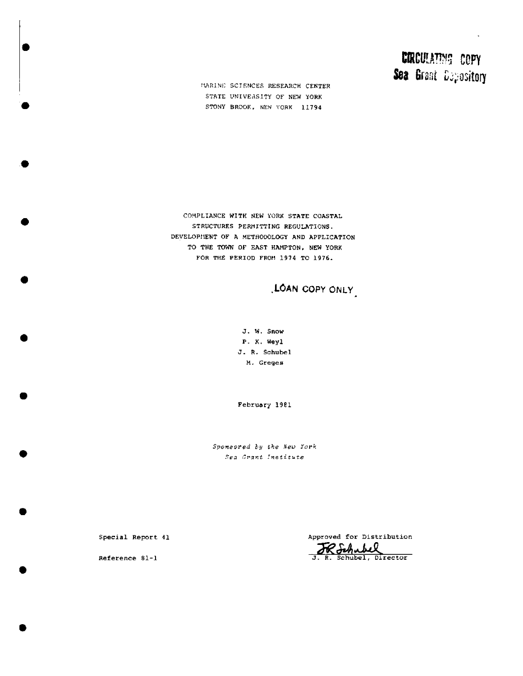# **CIRCULATING COPY** Sea Grant Depository

MARINE SCIENCES RESEARCH CENTER STATE UNIVERSITY OF NEW YORK STONY BROOK, NEW YORK 11794

COMPLIANCE WITH NEW YORK STATE COASTAL STRUCTURES PERMITTING REGULATIONS. DEVELOPMENT OF A METHODOLOGY AND APPLICATION TO THE TOWN OF EAST HAMPTON, NEW YORK FOR THE PERIOD FROM 1974 TO 1976.

LOAN COPY ONLY

J. W. Snow P. K. Weyl J. R. Schubel M. Greges

February 1981

Sponsored by the New York Sea Grant Institute

Special Report 41

Reference 81-1

Approved for Distribution Rochubel<br>J. R. Schubel, Director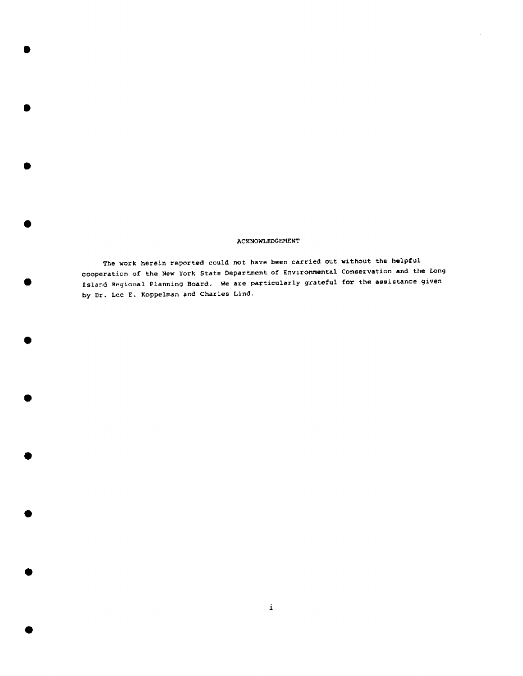#### ACKNOWLEDGEMENT

The work herein reported could not have been carried out without the helpful cooperation of the New York Btate Department of Environmental Conservation and the Long Island Regional Planning Board. We are particularly grateful for the assistance given by Dr. Lee E. Koppelman and Charles Lind,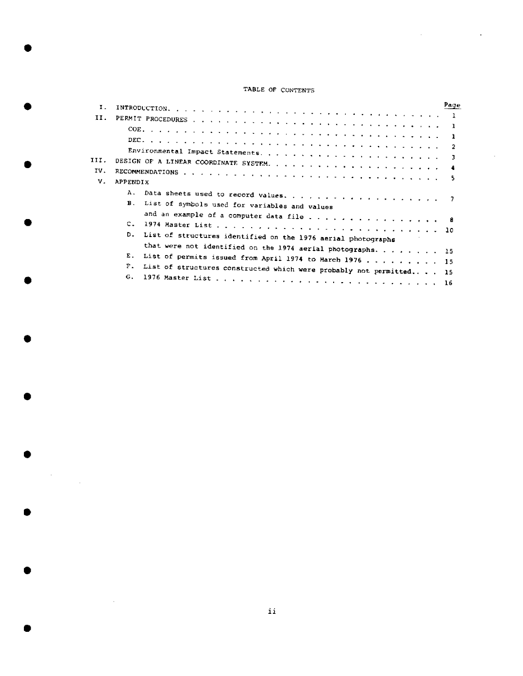## TABLE OF CONTENTS

 $\ddot{\phantom{a}}$ 

| Ι.   |                                                                           | Page |
|------|---------------------------------------------------------------------------|------|
| II.  |                                                                           |      |
|      |                                                                           |      |
|      | - 1                                                                       |      |
|      | $\overline{2}$                                                            |      |
| III. | ्र                                                                        |      |
|      | - 4                                                                       |      |
| IV.  |                                                                           |      |
| V.   | APPENDIX                                                                  |      |
|      | А.                                                                        |      |
|      | $\mathbf{B}$ .<br>List of symbols used for variables and values           |      |
|      | and an example of a computer data file 8                                  |      |
|      | C.                                                                        |      |
|      | D.<br>List of structures identified on the 1976 aerial photographs        |      |
|      |                                                                           |      |
|      | that were not identified on the 1974 aerial photographs. 15<br>Е.         |      |
|      | List of permits issued from April 1974 to March 1976 15                   |      |
|      | P.<br>List of structures constructed which were probably not permitted 15 |      |
|      | G <sub>1</sub>                                                            |      |

 $\label{eq:2} \frac{1}{\sqrt{2}}\sum_{i=1}^n\frac{1}{\sqrt{2}}\sum_{i=1}^n\frac{1}{\sqrt{2}}\sum_{i=1}^n\frac{1}{\sqrt{2}}\sum_{i=1}^n\frac{1}{\sqrt{2}}\sum_{i=1}^n\frac{1}{\sqrt{2}}\sum_{i=1}^n\frac{1}{\sqrt{2}}\sum_{i=1}^n\frac{1}{\sqrt{2}}\sum_{i=1}^n\frac{1}{\sqrt{2}}\sum_{i=1}^n\frac{1}{\sqrt{2}}\sum_{i=1}^n\frac{1}{\sqrt{2}}\sum_{i=1}^n\frac{1$ 

 $\sim 10$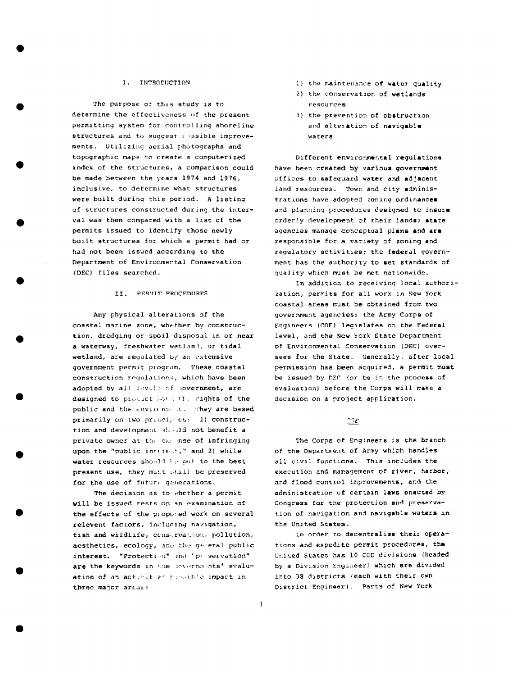#### 1. INTRODUCTION

The purpose of this study is to determine the effectiveness of the present permitting system for controlling shoreline structures and to suggest : ssible improvements. Utilizing aerial photographs and topographic maps to create a computerized index of the structures, a comparison could be made between the years 1974 and 1976, inclusive, to determine what structures were built during this period. A listing of structures constructed during the interval was then compared with a list of the permits issued to identify those newly built structures for which a permit had or had not been issued according to the Department of Environmental Conservation (DEC) files searched.

#### II. PERMIT PROCEDURES

Any physical alterations of the coastal marine zone, whether by construction, dredging or spoil disposal in or near a waterway, freshwater wetland, or tidal wetland, are regulated by an extensive government permit program. These coastal construction regulations, which have been adopted by all levels of government, are designed to protect both the rights of the public and the environment. They are based primarily on two principles: 1) construction and development should not benefit a private owner at the expanse of infringing upon the "public interest," and 2) while water resources should be put to the best present use, they must still be preserved for the use of future generations.

The decision as to whether a permit will be issued rests on an examination of the effects of the proposed work on several relevent factors, including navigation, fish and wildlife, conservation, pollution, aesthetics, ecology, and the general public interest. "Protection" and "preservation" are the keywords in the procriments' evaluation of an activitier possible impact in three major areas:

- 1) the maintenance of water quality
- 2) the conservation of wetlands resources
- 3) the prevention of obstruction and alteration of navigable waters

Different environmental regulations have been created by various government offices to safequard water and adjacent land resources. Town and city administrations have adopted zoning ordinances and planning procedures designed to insure orderly development of their lands; state agencies manage conceptual plans and are responsible for a variety of zoning and requlatory activities; the federal government has the authority to set standards of quality which must be met nationwide.

In addition to receiving local authorization, permits for all work in New York coastal areas must be obtained from two government agencies: the Army Corps of Engineers (COE) legislates on the Federal level, and the New York State Department of Environmental Conservation (DEC) oversees for the State. Generally, after local permission has been acquired, a permit must be issued by DEC (or be in the process of evaluation) before the Corps will make a decision on a project application.

 $\mathcal{CDE}$ 

The Corps of Engineers is the branch of the Department of Army which handles all civil functions. This includes the execution and management of river, harbor, and flood control improvements, and the administration of certain laws enacted by Congress for the protection and preservation of navigation and navigable waters in the United States.

In order to decentralize their operations and expedite permit procedures, the United States has 10 COE divisions (headed by a Division Engineer) which are divided into 38 districts (each with their own District Engineer). Parts of New York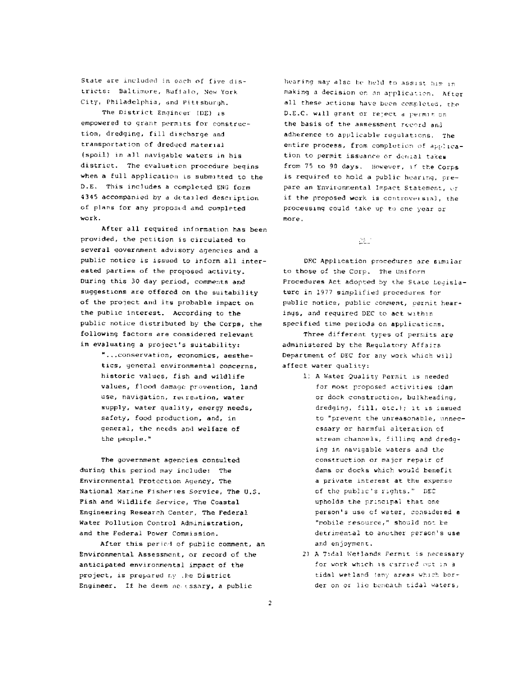State are included in each of five districts: Baltimore, Buffalo, New York City, Philadelphia, and Pittsburgh.

The District Engineer (DE) is empowered to grant permits for construction, dredging, fill discharge and transportation of dredged material (spoil) in all navigable waters in his district. The evaluation procedure begins when a full application is submitted to the D.E. This includes a completed ENG form 4345 accompanied by a detailed description of plans for any proposed and completed work.

After all required information has been provided, the petition is circulated to several government advisory agencies and a public notice is issued to inform all interested parties of the proposed activity, During this 30 day period, comments and suggestions are offered on the suitability of the project and its probable impact on the public interest. According to the public notice distributed by the Corps, the following factors are considered relevant in evaluating a project's suitability:

"... conservation, economics, aesthetics, general environmental concerns, historic values, fish and wildlife values, flood damage prevention, land use, navigation, recreation, water supply, water quality, energy needs, safety, food production, and, in general, the needs and welfare of the people."

The government agencies consulted during this period may include: The Environmental Protection Agency, The National Marine Fisheries Service, The U.S. Fish and Wildlife Service, The Coastal Engineering Research Center, The Federal Water Pollution Control Administration, and the Federal Power Commission.

After this period of public comment, an Environmental Assessment, or record of the anticipated environmental impact of the project, is prepared by the District Engineer. If he deem ne essary, a public

hearing may also be held to assist him in making a decision on an application. After all these actions have been completed, the D.E.C. will grant or reject a permit on the basis of the assessment record and adherence to applicable regulations. The entire process, from completion of application to permit issuance or denial takes from 75 to 90 days. However, if the Corps is required to hold a public hearing, orepare an Environmental Impact Statement, or if the proposed work is controversial, the processing could take up to one year or more.

25.1

DEC Application procedures are similar to those of the Corp. The Uniform Procedures Act adopted by the State Legislature in 1977 simplified procedures for public notice, public comment, permit hearings, and required DEC to act within specified time periods on applications.

Three different types of permits are administered by the Regulatory Affairs Department of DEC for any work which will affect water quality:

- 1) A Water Quality Permit is needed for most proposed activities (dam or dock construction, bulkheading, dredging, fill, etc.); it is issued to "prevent the unreasonable, unnecessary or harmful alteration of stream channels, filling and dredging in navigable waters and the construction or major repair of dams or docks which would benefit a private interest at the expense of the public's rights." DEC upholds the principal that one person's use of water, considered a "mobile resource," should not be detrimental to another person's use and enjoyment.
- 2) A Tidal Wetlands Permit is necessary for work which is carried out in a tidal wetland (any areas which border on or lie beneath tidal waters,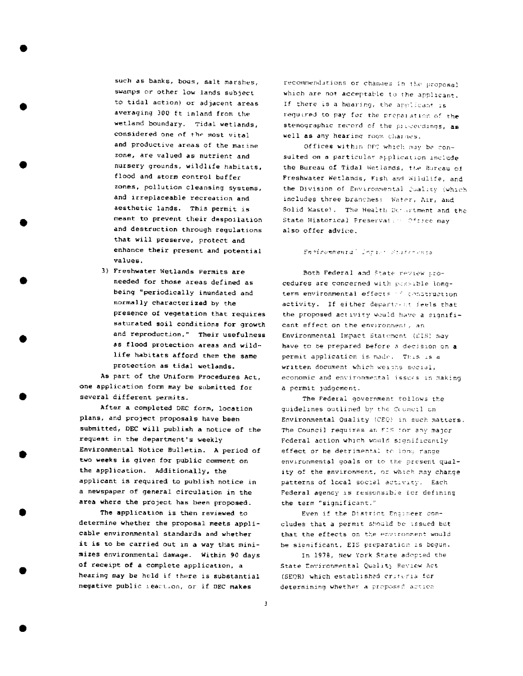such as banks, bogs, salt marshes. swamps or other low lands subject to tidal action) or adjacent areas averaging 300 ft inland from the wetland boundary. Tidal wetlands, considered one of the most vital and productive areas of the marine zone, are valued as nutrient and nursery grounds, wildlife habitats, flood and storm control buffer zones, pollution cleansing systems, and irreplaceable recreation and aesthetic lands. This permit is meant to prevent their despoilation and destruction through regulations that will preserve, protect and enhance their present and potential values.

3) Freshwater Wetlands Permits are needed for those areas defined as being "periodically inundated and normally characterized by the presence of vegetation that requires saturated soil conditions for growth and reproduction." Their usefulness as flood protection areas and wildlife habitats afford them the same protection as tidal wetlands.

As part of the Uniform Procedures Act. one application form may be submitted for several different permits.

After a completed DEC form, location plans, and project proposals have been submitted, DEC will publish a notice of the request in the department's weekly Environmental Notice Bulletin. A period of two weeks is given for public comment on the application. Additionally, the applicant is required to publish notice in a newspaper of general circulation in the area where the project has been proposed.

The application is then reviewed to determine whether the proposal meets applicable environmental standards and whether it is to be carried out in a way that minimizes environmental damage. Within 90 days of receipt of a complete application, a hearing may be held if there is substantial negative public reaction, or if DEC makes

recommendations or changes in the proposal which are not acceptable to the applicant. If there is a hearing, the annifoant is required to pay for the proparation of the stenographic record of the preceedings, as well as any hearing room charges.

Offices within DFC which may be consulted on a particular application include the Bureau of Tidal Wetlands, the Bureau of Freshwater Wetlands, Fish and Wildlife, and the Division of Environmental Juality (which includes three branches: Water, Air, and Solid Waste). The Health Decortment and the State Historical Preservation Office may also offer advice.

# Environmental Inpiet Statements

Both Federal and State review procedures are concerned with possible longterm environmental effects if construction activity. If either department feels that the proposed activity would have a significant effect on the environment, an Environmental Impact Statement (CIS) may have to be prepared before a decision on a permit application is made. This is a written document which weighs social, economic and environmental issues in making a permit judgement.

The Federal government follows the guidelines outlined by the Council on Environmental Quality (CEQ) in such matters. The Council requires an FIS for any major Federal action which would significantly effect or be detrimental to long range environmental goals or to the present quality of the environment, or which may change patterns of local social activity. Each Federal agency is responsible for defining the term "significant."

Even if the District Engineer concludes that a permit should be issued but that the effects on the environment would be significant, EIS preparation is begun.

In 1978, New York State adopted the State Environmental Quality Review Act (SEOR) which established criteria for determining whether a proposed action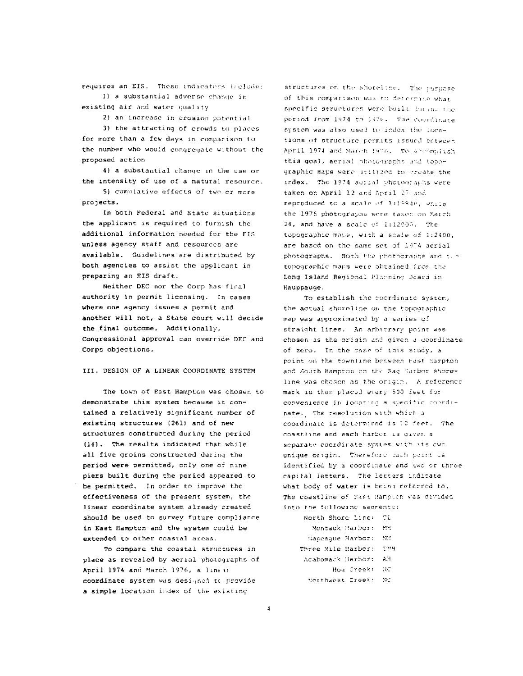requires an EIS. These indicators include: 1) a substantial adverse change in

existing air and water quality

2) an increase in erosion potential

3) the attracting of crowds to places for more than a few days in comparison to the number who would congregate without the proposed action

4) a substantial change in the use or the intensity of use of a natural resource.

5) cumulative effects of two or more projects.

In both Federal and State situations the applicant is required to furnish the additional information needed for the EIS unless agency staff and resources are available. Guidelines are distributed by both agencies to assist the applicant in preparing an EIS draft.

Neither DEC nor the Corp has final authority in permit licensing. In cases where one agency issues a permit and another will not, a State court will decide the final outcome. Additionally, Congressional approval can override DEC and Corps objections.

III. DESIGN OF A LINEAR COORDINATE SYSTEM

The town of East Hampton was chosen to demonstrate this system because it contained a relatively significant number of existing structures (261) and of new structures constructed during the period (14). The results indicated that while all five groins constructed during the period were permitted, only one of nine piers built during the period appeared to be permitted. In order to improve the effectiveness of the present system, the linear coordinate system already created should be used to survey future compliance in East Hampton and the system could be extended to other coastal areas.

To compare the coastal structures in place as revealed by aerial photographs of April 1974 and March 1976, a linear coordinate system was designed to provide a simple location index of the existing

structures on the shoreline. The purpose of this comparison was to deferrine what specific structures were built biring the period from 1974 to 1976. The coordinate system was also used to index the locations of structure permits issued between April 1974 and March 1976. To accomplish this goal, aerial photographs and topographic maps were utilized to create the index. The 1974 acrial photographs were taken on April 12 and April 27 and reproduced to a scale of 1:15840, while the 1976 photographs were taken on March 24, and have a scale of 1:12000. The topographic maps, with a scale of 1:2400, are based on the same set of 1974 aerial photographs. Both the photographs and the topographic maps were obtained from the Long Island Regional Planning Board in Hauppauge.

To establish the coordinate system, the actual shoreline on the topographic map was approximated by a series of straight lines. An arbitrary point was chosen as the origin and given a coordinate of zero. In the case of this study, a point on the townline between Fast Hampton. and South Hampton on the Sag Sarbor shoreline was chosen as the origin. A reference mark is then placed every 500 feet for convenience in locating a specific coordinate. The resolution with which a coordinate is determined is 10 feet. The coastline and each harbor is given a separate coordinate system with its own unique origin. Therefore each point is identified by a coordinate and two or three capital letters. The letters indicate what body of water is being referred to. The coastline of East Hampton was divided into the following secretic:

| North Shore Line:  | CT. |
|--------------------|-----|
| Montauk Harbor:    | МΕ  |
| Napeaque Harbor:   | NF. |
| Three Mile Harbor: | ጥህዘ |
| Acabomack Harbor:  | АH  |
| Hod Creck:         | -90 |
| Northwest Creek:   | NC  |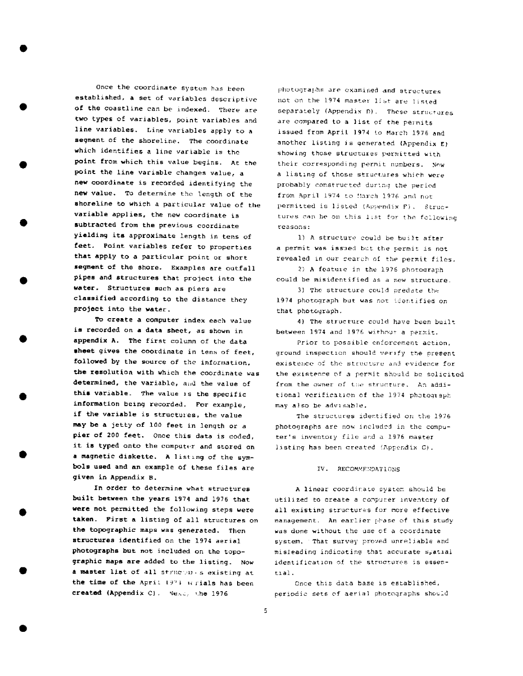Once the coordinate system has been established, a set of variables descriptive of the coastline can be indexed. There are two types of variables, point variables and line variables. Line variables apply to a segment of the shoreline. The coordinate which identifies a line variable is the point from which this value begins. At the point the line variable changes value, a new coordinate is recorded identifying the new value. To determine the length of the shoreline to which a particular value of the variable applies, the new coordinate is subtracted from the previous coordinate yielding its approximate length in tens of feet. Point variables refer to properties that apply to a particular point or short sequent of the shore. Examples are outfall pipes and structures that project into the water. Structures such as piers are classified according to the distance they project into the water.

To create a computer index each value is recorded on a data sheet, as shown in appendix A. The first column of the data sheet gives the coordinate in tens of feet, followed by the source of the information. the resolution with which the coordinate was determined, the variable, and the value of this variable. The value is the specific information being recorded. For example, if the variable is structures, the value may be a jetty of 100 feet in length or a pier of 200 feet. Once this data is coded. it is typed onto the computer and stored on a magnetic diskette. A listing of the symbols used and an example of these files are given in Appendix B.

In order to determine what structures built between the years 1974 and 1976 that were not permitted the following steps were taken. First a listing of all structures on the topographic maps was generated. Then structures identified on the 1974 aerial photographs but not included on the topographic maps are added to the listing. Now a master list of all structures existing at the time of the April 1971 wrials has been created (Appendix C). Nexc, the 1976

photographs are examined and structures not on the 1974 master list are listed separately (Appendix D). These structures are compared to a list of the permits issued from April 1974 to March 1976 and another listing is generated (Appendix E) showing those structures permitted with their corresponding permit numbers. Now a listing of those structures which were probably constructed during the period from April 1974 to March 1976 and not permitted is listed (Appendix F). Structures can be on this list for the following reasons:

1) A structure could be built after a permit was issued but the permit is not revealed in our search of the permit files.

2) A feature in the 1976 photograph could be misidentified as a new structure.

3) The structure could predate the 1974 photograph but was not identified on that photograph.

4) The structure could have been built between 1974 and 1976 without a permit.

Prior to possible enforcement action, ground inspection should verify the present existence of the structure and evidence for the existence of a permit should be solicited from the owner of the structure. An additional verification of the 1974 photograph may also be advisable.

The structures identified on the 1976 photographs are now included in the computer's inventory file and a 1976 master listing has been created (Appendix C).

#### IV. RECOMMENDATIONS

A linear coordinate system should be utilized to create a computer inventory of all existing structures for more effective management. An earlier phase of this study was done without the use of a coordinate system. That survey proved unreliable and misleading indicating that accurate spatial identification of the structures is essential.

Once this data base is established. periodic sets of aerial photographs should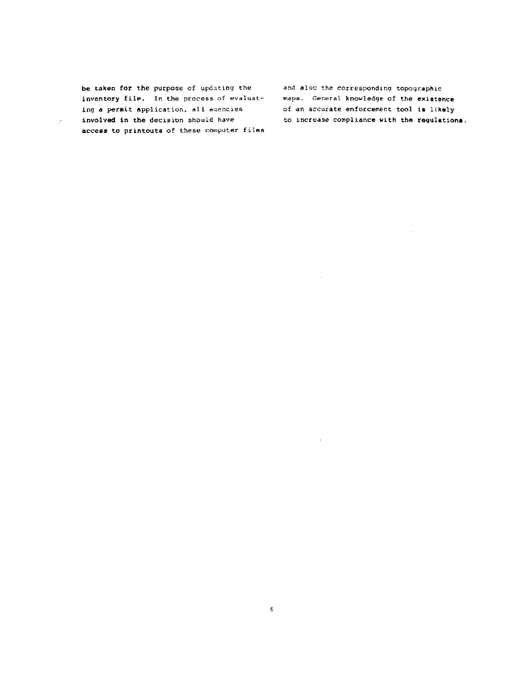be taken for the purpose of updating the inventory file. In the process of evaluating **a** permit application, all agencies involved in the decision should have access to printouta of these computer files

 $\mathcal{P}^{\pm}$ 

and also the corresponding topographic maps, General knowledge of the **exiatance** of an accurate enforcement tool ie likely to increase comp1ianca with the regulationa,

 $\sim$ 

 $\sim$ 

 $\mathcal{A}^{\mathcal{A}}$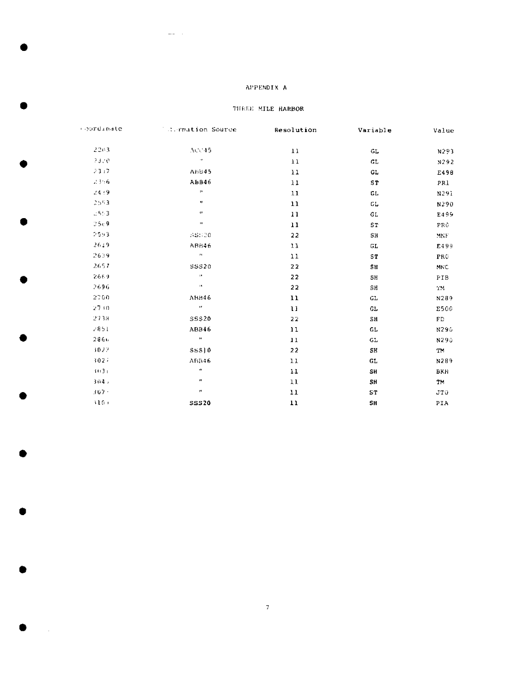## APPENDIX A

 $\mathcal{L}^{\text{max}}_{\text{max}}$ 

## THEEE MILE HARBOR

| coordinate | <b>Colormation Source</b> | Resolution | Variable        | Value                |
|------------|---------------------------|------------|-----------------|----------------------|
| 2203       | ACC45                     | 11         | GL.             | N293                 |
| 33.0       | $\alpha$                  | 11         | GL              | N292                 |
| -23.17     | <b>ABB45</b>              | 11         | GL,             | E498                 |
| 23.6       | <b>ABB46</b>              | 11         | 5T              | PRI                  |
| 24.49      | $\mathbf{p}$              | 11         | GL.             | N291                 |
| 2553       | $\mathbf{u}$              | 11         | GL.             | N290                 |
| $-5.3$     | $\boldsymbol{\theta}$     | 11         | GL.             | E499                 |
| 25.9       | $\mathbf{u}$              | 11         | ST              | PR0                  |
| 2553       | $-35:20$                  | 22         | SН              | $\operatorname{MNF}$ |
| 2649       | <b>ABB46</b>              | $11\,$     | GL              | E499                 |
| 2639       | $\bar{\bf n}$             | $1\,1$     | ST              | PRC                  |
| 2657       | <b>SSS20</b>              | 22         | SH <sub>3</sub> | MNC                  |
| 2669       | $\mathbf{u}$              | 22         | 5H              | <b>PIB</b>           |
| 2696       | $\mathbf{u}$              | 22         | SH              | TM.                  |
| 2700       | ABB46                     | 11         | GL              | N289                 |
| $27 + 0$   | $\alpha$                  | 11         | GL.             | E500                 |
| 2738       | <b>SSS20</b>              | 22         | SH              | ${\rm FD}$           |
| $-851$     | ABB46                     | 11         | GL.             | N290                 |
| 2866       | $\mathbf{u}$              | 11         | GL              | N290                 |
| 3022       | <b>SSS</b> ]0             | 22         | SH.             | <b>TM</b>            |
| 3027       | ABB46                     | 11         | GL              | N289                 |
| 1031       | ab.                       | 11         | <b>SH</b>       | <b>BKH</b>           |
| 3045       | ×.                        | 11         | SH              | TM.                  |
| $307 -$    | $\pmb{\mu}$               | 11         | ST              | JTO                  |
| 3103       | <b>SSS20</b>              | 11         | SH              | PIA                  |

n.

 $\sim 10^6$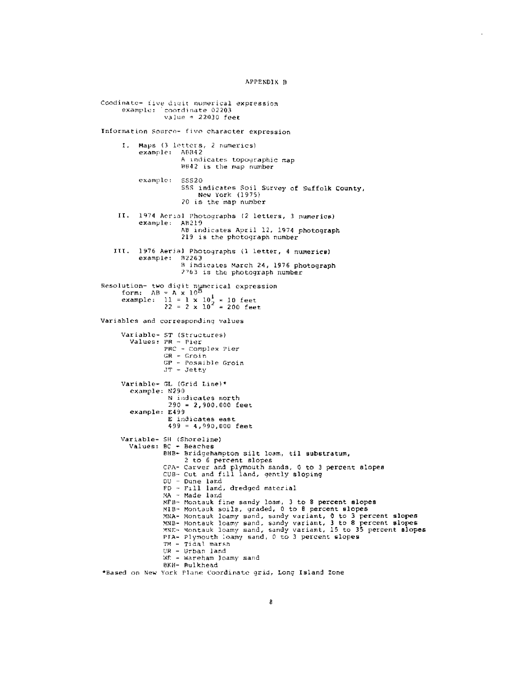APPENDIX B

Coodinate- five digit numerical expression example: coordinate 02203 value =  $22030$  feet Information Source- five character expression Maps (3 letters, 2 numerics)  $I<sub>z</sub>$ example: ABB42 A indicates topographic map B642 is the map number example: 55520 SSS indicates Soil Survey of Suffolk County, New York (1975) 20 is the map number II. 1974 Aerial Photographs (2 letters, 3 numerics) example: AB219 AB indicates April 12, 1974 photograph 219 is the photograph number 1976 Aerial Photographs (1 letter, 4 numerics) III. example: B2263 B indicates March 24, 1976 photograph  $7763$  is the photograph number Resolution- two digit numerical expression<br>form:  $AB = A \times 10^B$ example:  $11 = 1 \times 10^1$ <br>  $22 = 2 \times 10^2 = 200$  feet Variables and corresponding values Variable- ST (Structures) Values: PR - Pier PRC - Complex Pier  $GR - Groin$  $GP - Possible Groin$  $JT - Jetty$ Variable- GL (Grid Line)\* example: N290 N indicates north  $290 = 2,900,000$  feet example: E499 E indicates east  $499 = 4,990,000$  feet Variable- SH (Shoreline) Values: BC - Beaches BHB- Bridgehampton silt loam, til substratum, 2 to 6 percent slopes CPA- Carver and plymouth sands, 0 to 3 percent slopes<br>CUB- Cut and fill land, gently sloping DU - Dune land<br>FD - Fill land, dredged material MA - Made land AFB- Montauk fine sandy loam, 3 to 8 percent slopes<br>MIB- Montauk soils, graded, 0 to 8 percent slopes MNA- Montauk loamy sand, sandy variant, 0 to 3 percent slopes<br>MNA- Montauk loamy sand, sandy variant, 3 to 8 percent slopes<br>MNE- Montauk loamy sand, sandy variant, 3 to 8 percent slopes<br>MNE- Montauk loamy sand, 6 to 3 perc TM - Tidal marsh UR - Urban land WE - Wareham Joamy sand BKH- Bulkhead \*Based on New York Plane Coordinate grid, Long Island Zone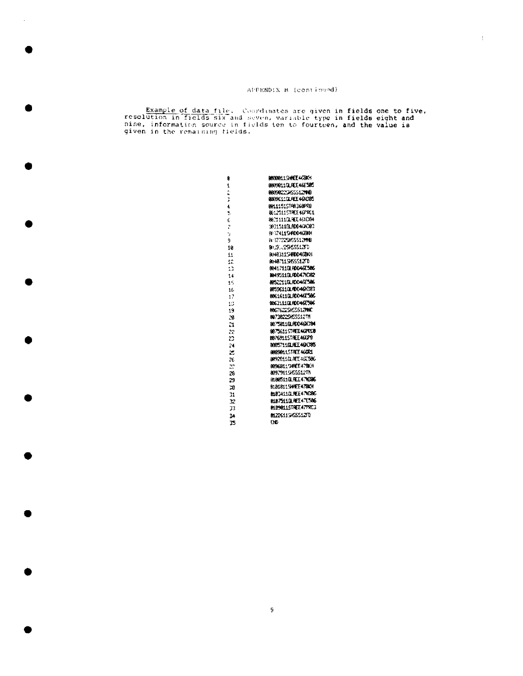$\bar{\xi}$ 

Example of data file. Coordinates are given in fields one to five,<br>resolution in fields six and seven, variable type in fields eight and<br>nine, information source in fields ten to fourteen, and the value is<br>given in the rem

| û        | BBOOBL19HHEE478AH           |
|----------|-----------------------------|
| 1        | 8889811019EE46F585          |
| é,<br>ċ. | BRIGGES ISSUED A            |
| Ì        | 809961131 REI 461385        |
| 4        | <b>BR11151STFR1360FRB</b>   |
| Ś        | 061.25115TREE46FRC1         |
| Ć        | 86 Y 111 GL REE 461 CO4     |
| ŀ.       | 19315119. RODA/JOBB         |
| ¥        | <b>RESTAL15HOD4GEKH</b>     |
| 9        | A: 17722515551211B          |
| 18       | 8131.2SLSS13T0              |
| 11       | 8:483115HDD46BCH            |
| 12       | 81487115155512FD            |
| 13       | 8041711GLRDD46E586          |
| 14       | <b>1049511GLAXX471CA2</b>   |
| ١ň       | 86522110LROMGE506           |
| 16       | 085961101ADD46R383          |
| 17       | <b>BOE1611GLADD-46L-306</b> |
| Ēΰ       | 8863111GLR0046E506          |
| 19       | <b>MAGTIGZZSHOSS12MMC</b>   |
| 28       | 8072822SASS\$\$?TH          |
| Ż.       | 997581101AD046ADM           |
| 22       | <b>MATSCHASTREE GEFREUD</b> |
| 23       | 0076911STAEE 46DP0          |
| 24       | MASTI 171 AEE 46 1085       |
| 25       | 10890115TAEE46DCL           |
| 26       | 0092611017ET45.586          |
| 27       | 00968119HEE47B01            |
| 28       | 80979115HSSS12Th            |
| 29       | <b>MORSIAL RELATIONS</b>    |
| 70       | 9:018115HHEE478KH           |
| 71       | <b>M83411GLPEE47V396</b>    |
| r        | <b>BLB7511GLREE47E506</b>   |
| 33       | 0109011STAEZ47PRC3          |
| 24       | 01226115/6551270            |
| 15       | ĐĐ.                         |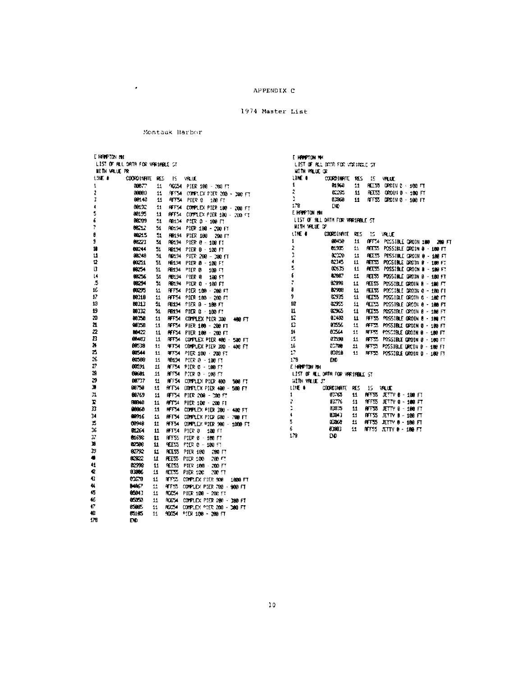1974 Master List

#### Montauk Harbor

 $\cdot$ 

E HEIPTON INC. LIST OF RELIGIORTA FOR VARIABLE ST HETH WELLE PR 19F A COORDINATE RES IS VALUE **108.7** 11 90054 PIER 100 - 200 FT  $\mathbf{I}$ 8983 11 PF54 COMPLEX PIER 200 - 200 FT , 00140 11 RFF54 PIER 8 108 FT  $\overline{\mathbf{3}}$ 00122 HEFTH COMPLEX PIER 100 - 200 FT  $\epsilon$  $11<sup>2</sup>$ Š. 88195  $11$  . RFF54 COMPLEX PIER 100 - 230 FT K 00209 51 RB104 PIER 0 - 109 FT 7 0212 51. R6194 PIER 100 - 200 FT B 66215  $51$ RB194 PIER 100 200 FT 00223  $\overline{\mathbf{M}}$ ŷ R0194 PIER 0 - 108 FT n 60244  $51$ RE134 PIER B - 100 FT ü 80248  $\overline{51}$ FB134 PITR 200 - 100 FT  $\overline{2}$ 80251  $51$ R6134 PIER 8 - 180 FT D 88254  $51$ RB134 PIER B 139 円  $\frac{14}{5}$ 88256  $\frac{51}{51}$ 88294 16 **ACCES**  $\mathbf{11}$ RFF54 PIER 109 - 200 FT  $\overline{R}$ BC:18  $\mathfrak{U}$ **AFF54 PICR 180 - 200 FT**  $13$ B9313 51 **RE194 PIER 0 - 186 FT** 19 88332  ${\bf 51}$ RE194 PIER G - 100 FT 20 80258  $\pmb{\mathfrak{u}}$ RFF54 COMPLEX PIER 300 480 FT RF54 PIER 100 - 200 FT  $\mathbf{a}$ 20358  ${\bf 11}$ 22 89422  $\mathbf{H}$  $\overline{B}$ 86487 RFF54 COFFLEX PIER 400 - 500 FT  $\mathbf{H}$ N 88538 **IFT54 COMPLEX PIER 300 400 FT**  $11$  $\tilde{a}$ 80544 RFF54 PIER 100 200 FT  $11$  $\infty$ 60588 R6134 PIER 8 - 100 FT -11  $\bar{v}$ 80591 **AFF54 PIER C - 180 FT**  $H$ Z. 69601 HFF54 P/ER 0 - 100 FT 11  $\mathbf{B}$ 00722  $\mathbf u$ RFT54 COMPLEX PIDR 480 580 FT J. 88758  $11\,$ AFTS4 COMPLEX PIER 400 - 500 FT  $\mathbb{Z}1$ 80769  $\mathbf{H}$ RFF54 PIER 200 - 200 FT Þ 88848 BFT54 PIER 108 - 200 FT 11  $\bar{n}$ 00060 RFF54 COMPLEX PIER 300 - 400 FT  $11$  $34$ 68916  $\pm 1$ RFF54 CONPLEX PTER 688 - 700 FT  $\overline{\mathbf{E}}$ **CONAR**  $\mathbf H$ RFF54 COMPLEX PIER 900 - 1000 FT 16 HFT54 PIER 0 100 FT **BL264** 11  $\overline{\mathbf{3}}$ **01696**  $\mathbf u$ HFFSS PIER 6 - 100 FT n 82506  $\mathbf{u}$ **WEEDS** PIER 0 - 100 FT **REES PIER 180 280 FT**<br>REES PIER 180 280 FT 33 62792  $\mathfrak{U}% _{T}=\mathfrak{U}_{T}\!\left( a,b\right) ,\ \mathfrak{U}_{T}=C_{T}\!\left( a,b\right) ,$  $\bullet$ 82822  $\mathbf H$  $\mathbf{4}$ 02998 **REESS PIER 100 200 FT**<br>REESS PIER 100 200 FT  $\mathbf{H}$  $\pmb{Q}$ 8,006 11 o 0350 HFFSS COMPLEX FIER 900 1000 FT  $11$ 4 **MA67** -11 AFF55 COMPLEX PIER 799 - 908 FT 45 604.  $\mathbf{H}$ RGC54 PIDR 100 - 200 FT 46 85050  $11\,$ ACC54 COMPLEX PIER 200 - 380 FT đŽ assos: ROC54 COMPLEX PIER 200 - 300 FT  $\mathbf{11}$ 48 R5185  $11$ 90054 PIDR 108 - 200 FT 179 END.

E HRAPTON MK LIST OF RL DOTA FOR VORIGING ST HITH VILLE OF 11HF ± COORDINATE RES 15 VALUE  $\mathbf{1}$ 81968 11 REESS DROTH & 180 FT  $\mathcal{D}$  $rac{1}{2}$ 11 REES 00011 0 - 100 FT  $\overline{\mathcal{A}}$ 8289 11 AFF55 DRDIN 0 - 100 FT  $1.78\,$ DЮ E HREFTON HH LIST OF ALL DATH FOR VARIABLE ST HITH WELD OF  $(100 - 4)$ **COORDINATE RES 15 VALLE**  $\blacksquare$ 00459 11 OFF54 POSSIBLE GROBN 180 280 FT  $\overline{2}$  $0.935$  $\boldsymbol{\varPi}$ REESS POSSIBLE GROIN 0 - 100 FT  $\overline{\mathbf{3}}$ anno.  $\Omega$ REES POSSIBLE GROIN 0 - 180 FT  $\pmb{\ast}$ 02345  $11$ **REESS** POCSIBLE DROTN B - 188 FT  $\overline{\mathbf{S}}$ 00635  $\mathbf{H}$ REESS POSSIBLE GROIN B - 180 FT 2287  $\mathbf{f}$  $\mathbf{11}$ REESS POSSIBLE GROIN B - 180 FT ÷. 82996  $11$ REESS POSSIBLE GROUN B < 100 FT  $\pmb{\mathsf{s}}$ **ROOMS**  $11\,$ REESS POSSIBLE GROIN 0 - 199 FT 62975 J.  $44$ REESS POSSIBLE GROTH 0 - 180 FT 10 02955 11 REES POSSIBLE ORDIN @ - 100 FT  $\mathbf{u}$ 8355  $\mathbf{u}$ REESS POSSIBLE ORDIN B - 180 FT 12 83480  $\mathbf u$ RFFSS POSSIBLE OROIN B - 180 FT  $\Omega$ 01556  $\mathbf{H}$ **AFF**<sub>22</sub> POSSIBLE GROIN 0 - 180 FT  $\mathbf{R}$ 82564  $11<sup>2</sup>$ **REFERE** POSSIBLE GROTN 0 - 180 FT  $\bar{1}5$ 81590  $\mathbf{11}$ **RETT** POSSIBLE GROIN 8 - 180 FT  $16\,$ 02708 POSSIBLE DROTH B - 180 FT  $11 -$ 8755  $\Omega$ 63918 REES POSSIBLE ORDIN 0 - 100 FT  $11$  $179$ ĐĐ. E HAPTON NH LIST OF ALL DATA FOR VARIABLE ST **SITH VALUE JT**  $15$  WILLE LIKE B COORDINATE RES 11 MFSS JETV 8 - 198 FT  $03757$  $\mathbf{1}$ 83.7%  $\mathbf{H}$ **REFORM JETTY 8 - 188 FT** 2 93825 **AFFSS** JETTY 8 - 188 FT  $11$  $\hat{\mathbf{t}}$ 80943 RFF55 JETTY 8 - 188 FT  $\mathbf{1}$  $\overline{\mathbf{5}}$ 0000 **RFF55 JETTY 0 - 188 FT**  $H$ 6 0003 11 RFF55 JETTY 0 - 180 FT

179

ĐĐ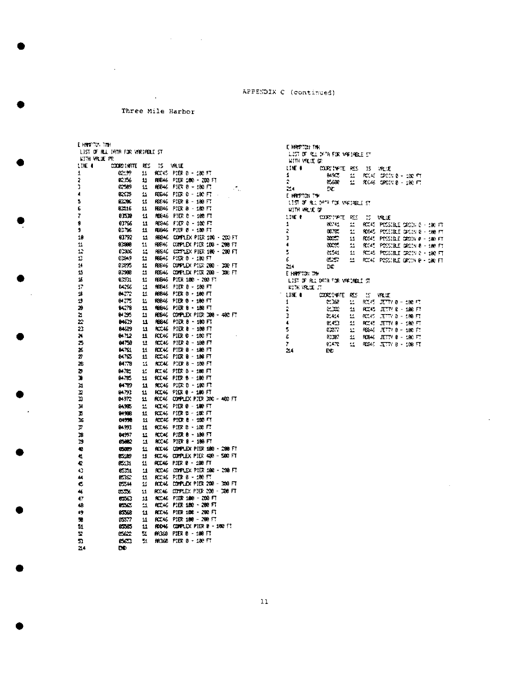$\overline{1}$ Three Mile Barbor

 $\alpha$ 

 $\ddot{\phantom{a}}$ 

 $\sim 10^{-1}$ 

 $\sim$   $\omega$ 

| E HAT TO THE<br>LIST OF RLL DATA FOR VARIABLE ST |                    |               |                |                                    |  |  |
|--------------------------------------------------|--------------------|---------------|----------------|------------------------------------|--|--|
| KITH VRUE PR                                     |                    |               |                |                                    |  |  |
| LINE 1                                           | <b>JUDIC: NATT</b> | RΣ            | 15             | ₩LE                                |  |  |
| 1                                                | بعيين              | 11            | <b>RCCKS</b>   | PIER B - 1982 FT                   |  |  |
| Ż                                                | RC 156             | 11            | FBB46          | PHR 186 - 200 FT                   |  |  |
| J                                                | ar.e9              | n             | PEE46          | PIER 9 – 180 F.T                   |  |  |
| 4                                                | හය                 | 益             | RBE46          | PIER 0 - 100 FT                    |  |  |
| 5                                                | aza:               | 11            | PBD46          | PIER B - 180 FT                    |  |  |
| 6                                                | 82515              | 11            | FE946          | PISR 8 - 1489 FT                   |  |  |
| 7                                                | 82578              | 11            | PEE 46         | PIER 0 - 100 FT                    |  |  |
| 9                                                | 03766              | 11            | RES46          | FIER 0 - 100 FT                    |  |  |
| 9                                                | 83.16              | 11            | F6846          | PIER 0 - 100 FT                    |  |  |
| 10                                               | 03792              | 11            | ABB46          | COMPLEX PIER 106 - 200 FT          |  |  |
| 11                                               | 10000              | 11            | ABR46          | COMPLEX PIER 108 - 200 FT          |  |  |
| 12                                               | 6.3%               | 11            | PBE-10         | COFFLEX PIER 100 - 200 FT          |  |  |
| Ľ                                                | 02849              | 11            | PEGAE          | PIDR 8 - 100 FT                    |  |  |
| 14                                               | 21235              | 11            |                | RES46 COMPLEX PIER 200 - 200 FT    |  |  |
| 15                                               | 93988              | 22            | <b>REG46</b>   | COMPLEX PIER 200 - 300 FT          |  |  |
| 16                                               | 0.331              | Ľ             | <b>RESI46</b>  | PIER 180 - 200 FT                  |  |  |
| 17                                               | 84266              | 11            | 16646<br>HBB46 | PIER 8 - 198 FT<br>PIER 8 - 100 FT |  |  |
| 18                                               | 84272              | 11            |                |                                    |  |  |
| 19<br>20                                         | 647 T<br>94278     | 11<br>11      | 10846<br>10046 | PIDR 9 + 100 FT<br>PIER 8 - 189 FT |  |  |
| 21                                               | 84 255             | 11            | FB946          | COMPLEX PIER 300 - 400 FT          |  |  |
| 22                                               | 84639              | п             | FE646          | PIDR 8 - 100 FT                    |  |  |
| 23                                               | 84639              | 11            | RCC46          | PIER 8 - 100 FT                    |  |  |
| 24                                               | 84.12              | 11            | RCC46          | PIER 0 - 190 FT                    |  |  |
| 75                                               | 64758              | 11            | <b>RCC46</b>   | PIER 8 - 100 FT                    |  |  |
| 25                                               | 84761              | 11            | RCC 46         | PIER 8 - 180 FT                    |  |  |
| 27                                               | <b>04765</b>       | 11            | к. к.          | PIDR 6 - 106 FT                    |  |  |
| 28                                               | <b>04778</b>       | п             | <b>RCCAE</b>   | PIER B - 109 FT                    |  |  |
| ъ                                                | 8478.              | 丝             | PCC 46         | PIER 8 - 188 FT                    |  |  |
| ю                                                | <b>B4785</b>       | 11            | PCC 45         | PIER 6 - 100 FT                    |  |  |
| 31                                               | 04.99              | 11            |                | RCC46 PIER 0 ~ 180 FT              |  |  |
| r                                                | 84791              | 11            | RCC K6         | PIER 8 - 186 FT                    |  |  |
| n                                                | 84972              | 11            |                | ACC46 COMPLEX PIER 300 - 400 FT    |  |  |
| и                                                | 94385              | ż.            | HCL46          | PIER 8 - 100 FT                    |  |  |
| в                                                | 949BB              | 11            | <b>KC46</b>    | PIER 12 - 102 FT                   |  |  |
| 36                                               | 04350              | 11            |                | RCC46 PIDR 8 - 100 FT              |  |  |
| л                                                | 84533              | 11            | <b>ACC 16</b>  | PIER 8 - 108 FT                    |  |  |
| 38                                               | 84997              | Ľ             | <b>RCC4C</b>   | PIER 8 - 100 FT                    |  |  |
| 19                                               | <b>CSHOC</b>       | 11            | RC46           | PIER 8 - 186 FT                    |  |  |
| 相                                                | 05099              | 11            | ACC 46         | COMPLEX PIER 180 - 200 FT          |  |  |
| 41                                               | 65189              | 11            | <b>SCC 45</b>  | COMPLEX PIER 400 - 500 FT          |  |  |
| セ                                                | 05:31              | 11            | <b>RCC46</b>   | PIER 0 - 100 FT                    |  |  |
| 43                                               | 631                | 11            | PCL46          | COMPLEX PIER 100 - 200 FT          |  |  |
| 44                                               | <b>EGC</b>         | 11            | PCCKS.         | PIER 8 - 180 FT                    |  |  |
| с                                                | 0.7.44             | ĸ             | ACC46.         | COMPLEX PIER 200 - 100 FT          |  |  |
| 46                                               | ಮು                 | $\mathbf{11}$ | RCC 46         | COPALY PIER 200 - 200 FT           |  |  |
| 47                                               | ದುಬ                | 11            | <b>RCC46</b>   | pier 180 - 200 ft                  |  |  |
| 48                                               | <b>ISS</b>         | 11            | PC 46          | PB 120 - 200 FT                    |  |  |
| 49                                               | 85568              | 11            | <b>PCC 46</b>  | PIER 108 - 200 FT                  |  |  |
| 58                                               | ಯಗ                 | 11            | <b>PCC 45</b>  | PIER 100 - 200 FT                  |  |  |
| 51                                               | 0505               | 11            | RDD46          | COMPLEX PIER 8 - 100 FT            |  |  |
| 호<br>n                                           | සක                 | 51            | In 369<br>HGGC | PIER 0 - 100 FT<br>PIER 8 - 100 FT |  |  |
| 21 A                                             | සඟ<br>mo           | $\mathbf{1}$  |                |                                    |  |  |

**E HRETCH THE** LIST OF RIL SATA FOR VARIABLE ST **RITH VILLE OF**  $\mathbb{R}$ DC. E HRETON THE A MARINA BITH<br>1157 OF ALL DATE FOR MARINBLE ST.<br>1417M MALVE OF WITH VALUE OF<br>
1986 4 COORD (VATE RES 15 VALUE<br>
2 08785 14 ROAS POSSIBLE DROIN 8 - 1989 FT<br>
2 08785 14 ROAS POSSIBLE DROIN 8 - 1989 FT<br>
3 08857 14 ROAS POSSIBLE DROIN 8 - 1989 FT<br>
4 08855 14 ROAS POSSIBLE DROIN 8 - 1989 F  $24 \rm{D}C$ E-HARPTON THE LIST OF RL DRIR FOR VRCHBLE ST **ETH VELE JT**  $\sim 1000$  $\mathbf{1}$ CLEAR 11 ROCKS JETTY B - 186 FT  $\overline{2}$ 20414 11 RC45 JETN 8 - 100 FT  $\mathfrak I$  $\blacktriangleleft$ 82423 22 6824 52 777 8 - 100 77<br>82367 11 68346 32 777 8 - 100 77<br>82478 11 62846 32 777 8 - 100 77  $\,$  5  $\pmb{\xi}$  $\overline{z}$  $214\,$  $\overline{BC}$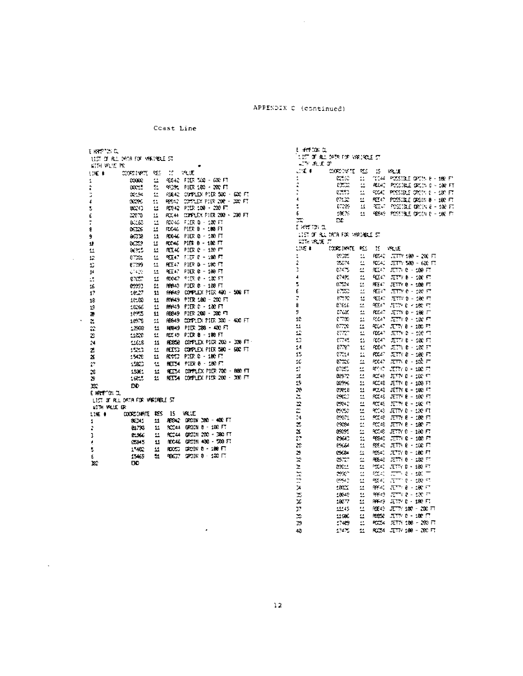$\sim 10^7$ 

Coast Line

|                      | 11ST OF R.L. 1978 FOR MAKINELE ST |                         |               |                                   |
|----------------------|-----------------------------------|-------------------------|---------------|-----------------------------------|
| KIN WUE IK           |                                   |                         |               |                                   |
| LIKE O               | contrett.                         | Ø.                      | $\mathcal{L}$ | 空運                                |
| 1                    | <b>CODE</b>                       | 쓰                       | 45342         | FIER 520 - 600 FT                 |
| Ż                    | 30015                             | 51                      | 99391         | PIER 180 - 200 FT                 |
| þ                    | <b>CCPS</b>                       | 韭                       |               | REAR DUPLEX PIER 500 - 600 FT     |
| 4                    | arres.                            | 11                      | REGAL         | CONNEX PIER 200 - DON FT          |
| 5                    | 80243                             | 뵤                       | FC342         | PID: 130 - 230 FT                 |
| Ĺ                    | ಬಾಂ                               | $\mathbf{12}$           |               | RCC44 COMPLEX PIER 2008 - 2008 FT |
| ř                    | $0.163 -$                         | Ľ.                      |               | RG46 FISR 0 - 100 FT              |
| e.                   | 05236                             | 14                      |               | RICCAS PIER 9 - 188 FT            |
| 9.                   | ∂೧೧೦೫                             | $\mathbf{u}$            |               | ROC46 PLER 0 - 100 FT             |
| 11                   | ಿಯಾ                               | 11                      |               | ROAC PIER 0 - 180 FT              |
| 11                   | as.s                              | Ľ.                      |               | RELAG PIER C - 100 FT             |
| 12                   | 6722.                             | 丝                       | 9T47 -        | EEF 0 - 190 FT                    |
| D                    | 87299                             | $\overline{\mathbf{L}}$ | R⊡∹ '         | PIER 0 - 180 FT                   |
| 14                   | 63405                             | 11                      | VГ.           | PIER 6 - 180 FT                   |
| ć.                   | ಾದ್                               | 11                      | <b>RXX7</b>   | $22.1$ $\pm 0.22$                 |
| 26                   | 8993.                             | 41                      | PPR43         | PIER 6 - 108 FT                   |
| 17                   | 1817.                             | 11                      |               | PARKS COMPLEX PTEX 400 - 500 FT   |
| 18                   | 10.00                             | $11 -$                  | RYHS.         | PIER 180 - 200 FT                 |
| 19                   | 16.66                             | 11                      | <b>MA49</b>   | PIER 0 - 100 FT                   |
| т                    | 1895                              | 11                      | HB949         | PIER 2008 - 2010 FT               |
| ż,                   | 10978                             | $\mathbf{u}$            | AB549         | CONFLEX PIER 300 - 400 FT         |
| æ                    | $12960 -$                         | 11                      |               | REGAS PIER 200 - 400 FT           |
| B                    | $rac{1}{2}$                       | Ш.                      | RC 49         | P.ER 8 - 100 FT                   |
| 24                   | LLE                               | 11                      |               | REBSB COMPLEX PIER 200 - 300 FT   |
| Z                    | 1523.                             | 丝                       | КŒЗ.          | COPLEX PIER 500 - 600 FT          |
| X                    | :5420                             | 显                       | KV.           | P1.92: 3.9219                     |
| P                    | 1580.                             | t.                      |               | REEM PIER 0 - 100 FT              |
| Ż6                   | 15351                             | 11                      |               | REEST DOMPLEX PIER 700 - 880 FT   |
| 3                    | 16815                             | $\mathbf{1}$            | KI A          | COMPLEX PISR 200 - 300 FT         |
| юc                   | ÐĐ                                |                         |               |                                   |
| E HRETOL OL          |                                   |                         |               |                                   |
|                      | LIST OF R.L. DATA FOR VARIABLE ST |                         |               |                                   |
| <b>WITH VRLUE OR</b> |                                   |                         |               |                                   |
| LINE O               | <b>COOLCOMPTE</b>                 | ‡ES ⊺                   | - 15          | <b>INLE</b>                       |
| 1                    | SC 11                             | 11.                     |               | RESA2 DRC1N 200 - 400 FT          |
| ż                    | 81. X                             | 11.                     |               | RCC44 GROIN B - 100 FT            |
| 3                    | 2:366                             | Ш.                      |               | RC144 0R01N 200 - 380 FT          |
| Ą                    | CB45                              | 11.                     |               | ROC45 GROIN 400 - 530 FT          |
| 5                    | 1.402                             | 11.                     | ROUT.         | CA2111 0 - 1980 FT                |
| 6                    | 15465                             | 51.                     |               | <b>RBGT SROIK 8 : 130 LT</b>      |
| x                    | ĐĐ.                               |                         |               |                                   |

 $\mathbb{R}^2$ 

 $\hat{\mathcal{A}}$ 

 $\sim$ 

| t leestaria.        |                                  |                |                    |                                                             |
|---------------------|----------------------------------|----------------|--------------------|-------------------------------------------------------------|
|                     | UST OF REL SYSTEM VALUABLE ST    |                |                    |                                                             |
| - ጉ ቤደ ው            |                                  |                |                    |                                                             |
| $\sim$ 1            | MOMENTE                          | 地              | 15                 | VR JE                                                       |
| 1                   | <b>CESC</b>                      | 11             | $\gamma$ and       | POSSIBLE GROSS 8 - 182 FT                                   |
| 2                   | <b>CEE</b>                       | 4              | RG-2               | POSSIBLE ORCIN 0 - 180 FT                                   |
| þ                   |                                  | π              | <b>COL.</b>        | POSSIBLE ORDER 6 - 100 FT                                   |
| 4                   | enico                            | Ľ.             | RT40               | POSSIBLE DODIN 0 ~ 100 FT                                   |
| t                   | 6.285                            | п              |                    | REAL POSSIBLE DRONK 8 - 100 FT                              |
| Б                   | 10676                            | 11             |                    | 10 905 - 9 HOSSIBLE OROIN 0 - 100 FT                        |
| ≍                   | Ω£                               |                |                    |                                                             |
| г жеттэн а.         |                                  |                |                    |                                                             |
| 影响 流氓 万             | LIST OF BL. DREA FOR VRRIABLE ST |                |                    |                                                             |
| the e               | COORGINATE                       | ÞS.            | π                  | VR UE                                                       |
| $\ddot{\ddag}$      | ಜಾಂ                              | t.             | PS 42              | $T T Y 189 - 200$ Fi                                        |
| $\ddot{\mathbf{r}}$ | 35074                            | Δź,            | PO AC              | $2776.530 \times 62017$                                     |
| 3                   | 074TS                            | ≝              | SER .              | ೨೮೧೧-೭೨೦ ಗ                                                  |
| 4                   | 2749.                            | 4              | <b>PEC</b>         | ZITY 8 - 100 FT                                             |
| 5                   | 0.224                            | ÷.             | 旺に                 | JETTY 0 - 100 FT                                            |
| E                   | 化工厂                              | ż.             | 92 P               | $T\Gamma Y$ 0 $-$ 137 $T$                                   |
| 7                   | $\mathbb{R}^n \mathcal{X}$       | t.             | 短に                 | হারাও - এই দ                                                |
| 8                   | 07616                            | 丝              | PEL 2              | 非空化 化酸 电                                                    |
| 9                   | <b>CTCS</b>                      | 盐              | <b>RX47</b>        | $\mathcal{H} \mathcal{T} \mathcal{W}$ o – 100 $\mathcal{F}$ |
| 10                  | e Toc                            | ц              | P. C. 17           | ಸರ್ಗಾರಿ - ೧೯೯೧                                              |
| 11                  | $e\rightarrow e$                 | ÷.             | <b>ACC - 1</b>     | X 77 8 - 100 F                                              |
| 12                  | <b>FTP</b>                       | 르              | <b>FDCA</b>        | JETY 0 - 100 T                                              |
| 13                  | $17-45$                          | 41             | etten.             | JETY B - 100 FT                                             |
| 14                  | ET P.                            | 至              | POLICY .           | JETY 0 - 100 FT                                             |
| 15                  | $270 +$                          | 益              | $FX -$             | JETTY 8 – 180 FT                                            |
| 10                  | 8720                             | 彑              | PX47               | ITTN 8<br>– 132 ਜ                                           |
| 47                  | ೯೮೦                              | 11             | R.C                | JETTY 0 - 100 FT                                            |
| 18                  | <b>BSP2</b>                      | $\overline{a}$ | PC 48              | 医中间 经标准                                                     |
| 15                  | 139%                             |                | RC-8               | JETN 8 - 108 FI                                             |
| 20                  | 03P.R                            | 兵<br>11        | PCLAS              | JETTY 0 - 100 FT                                            |
| ă                   | CAC.                             | Ħ,             | PC 45              | JETTY 8 - 100 FT                                            |
|                     | <b>Little</b>                    | 4              | RC 45              | $17.722 \pm 100.73$                                         |
| z<br>È              | <b>CSSC</b>                      | e              | 92.43              | ঞπγβ - 130 Π                                                |
| 24                  | 02671                            | ă              | PC 48              | רח 100 – 8 ירדבי,                                           |
| τ                   | CSCR+                            | ÷              |                    | 900 ಕಿ. 3 VTTV 8 - 1,80 ಗ್                                  |
| ä                   | 85555                            | ۵ź             | RC-48              | $JETN$ $0 - 100$ $F$                                        |
| 27                  | 09640                            | ÷,             | œe.                | 2007 - 100 F                                                |
|                     | <b>ESG64</b>                     | $\mathbf{u}$   | 29. C              | JETR 6 - 100 FT                                             |
| 28                  | <b>ESC84</b>                     | 盐              | <b>RS542</b>       | JETTY 0 - 100 FT                                            |
| э                   |                                  | ÷.             |                    |                                                             |
| X                   | 87.                              |                | æ€                 | JETTY 0 - 122 FT                                            |
| ż                   | <b>130.1</b>                     | ii ii          | PEAT<br><b>CAN</b> | JETY 8 - 180 FT<br>$22 - 3 \cdot 27$                        |
| $\frac{1}{11}$      | 3307                             | ù,             | PP 40              | $\tau\to e^+e^-$ in $\tau$                                  |
|                     | 0942                             |                |                    |                                                             |
| þ,                  | 1022                             | 11             | ne -               | $T^{\rm tree}$ , $\theta = 000$ $T$                         |
| X                   | 18048                            | t.             | 2014 I             | হাসংহ - হেলে                                                |
| 26                  | 100.77                           | Ľ,             | RH-19              | JETTY BIG 180 FT                                            |
| 37                  | 11145                            | 르              | RS-42              | ה 200 - 30 דרת                                              |
| ≫                   | 1198.                            | u              | RESE.              | র্জাও - এং তে                                               |
| 39                  | 17459                            | t.             | <b>PCSK</b>        | XTIV 100 - 200 FT                                           |
| 49                  | 17475                            | 44             | 81.54              | – JETY 188 – 200 FT                                         |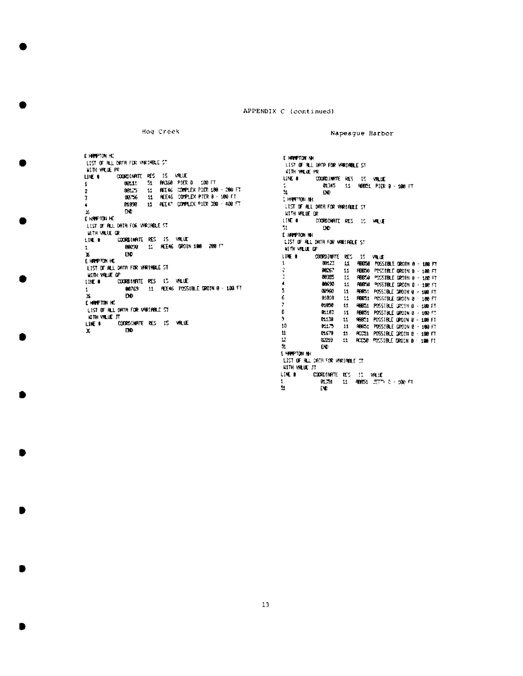```
Hog Creek
```
Napeague Harbor

E HIPPTON HC LIST OF ALL DRTR FOR VERTABLE ST **WITH WILLIE PR** COORDINATE RES IS VALUE UK 1 08111 51 RR368 PIER 8 100 FT  $\mathbf{I}$ 11 REE46 COMPLEX PIER 100 - 200 FT 88125  $\overline{z}$ 11 REE46 COMPLEX PTER 8 - 180 FT 00756  $\mathbf{R}$ 11 REE47 COMPLEX P1ER 308 - 408 FT 01098  $\blacktriangleleft$ K, ĐĐ. E HANPTON HC LIST OF ALL DATA FOR VARIABLE ST WITH VALUE OR COORDINATE RES IS VALUE LINE # 88009 11 REE46 GROUN 188 209 FT  $\mathbf{1}$ EID. х **E HAMPTON HC** LIST OF ALL DRTR FOR VARIABLE ST WITH VALUE OF **COORDINATE RES IS VALUE**  $11E$  . 00769 11 REE46 POSSIBLE GROTN 0 - 100 FT  $\mathbf{1}$ ĐĐ.  $\mathbf{x}$ E HAMPTON HC LIST OF ALL DRTR FOR VARIABLE ST KITH VILLE JT COORDINATE RES IS VALUE LIKE #  ${\bf B0}$  $\mathbf{x}$ 

E HAMPTON NH. LIST OF RLL DATA FOR VARIABLE ST KITH VILLE PR UNE 6 COLORADINATE RES IS VALUE 01345 11 98851 PIER 9 - 188 FT  $\overline{\mathbf{3}}$  $\mathbf{D}\mathbf{D}$ E HAPPTON IN LTST OF ALL DATA FOR VARIABLE ST **WITH WILLIE OR** LINE # **COORDINATE RES 15 MALLE** 51.  $\mathbf{D}\mathbf{D}$ E HALPTON NH LIST OF RLL DRTR FOR WRITINGE ST **WITH VILLE OF**  $116.9$ COORDINATE RES IS VALUE 11 HERES POSSIBLE GROIN 8 - 188 FT 89127  $\mathbf{I}$  $000\,$ ÷.  $11\,$ REEGO POSSIBLE GROIN B - 180 FT ne ces  $11^\circ$ RBS50 PDSSIBLE DROIN 0 - 188 FT  $\mathbf{I}$ 00650  $11\,$ REEG POSSIBLE GROIN 0 - 180 FT  $\mathbf{5}$ 00960  $\mathbf{1}\mathbf{1}$ R6851 POSSIBLE GROIN @ - 108 FT 6  $0.010$  $\mathbf{H}$ RBBS1 PCSSIBLE GROIN 8 100 FT ÿ, 01056  $\pm$ RBB51 POSSIBLE GROIN B - 180 FT ¢. 01183 RBB51 POSSTBLE GROTN 8 + 169 FT  $11$ 9 01139 RBB51 POSSIBLE GROIN 8 - 100 FT 11 10 61175 11 RRES1 POSSIBLE DROIN 8 - 100 FT  $\pmb{\mathfrak{t}}$ 0.679 11 ACC51 POSSIBLE GROIN 8 - 198 FT  $\Omega$ 32019 11 ACCSB POSSIBLE GROIN 0 198 FT 玉 **EID** E HARPTON NH LIST OF ALL CATA FOR VARIABLE CT. KITH VALUE JT LINE # COORDINATE RES 15 VALUE 81.251 11 40851 2017 0 - 100 FT  $\mathfrak{A}$ EVD.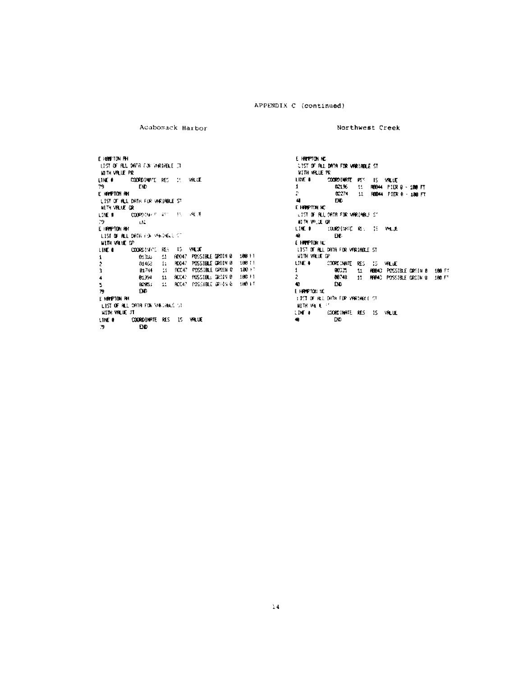Acaboxack Harbor

Northwest Creek

E HANDTON AH LIST OF RLL DATA CONVARINGLE CT KITH VALUE PR COORDINGT RES 15 VIOLET LIKE # 79<br>E HAMPTON AN **IND** LIST OF ALL DRIN FOR VARIABLE ST WITH VILLE OR LINE # 000POTHER AT 15 PER  $\overline{\mathbf{y}}$  $\mathbf{E}(\mathbf{L})$ E HPPTON RH LEST OF ALL DRIR FOR VALVIOLE CT **HITH VALUE OF** .<br>COORDINATE RES 15 VALUE. LIKE O 01350 11 ROAZ POSSIBLE GROIN 0 188 FT  $\pmb{\mathtt{i}}$ 11 MAR: POSSIBLE GRON B 108 FT  $\bar{z}$ 53HB 3 81744 01394 11 90047 POSSIBLE 06019 9 180 FT  $\ddot{\phantom{a}}$  $\mathbf{S}$  $\bar{z}$ nn. E HRIPTON PH LEST OF ALL DATA FOR VALIANCE VI. **HITH VALUE JT** COORDINATE RES IS VALUE LINE # **DD** 79

E HEEPTON NC LIST OF ALL DATA FOR VARIABLE ST **WITH WELE PE** "<br>"Coordinate Pe" IS YALLE<br>"D2196" 11 RBB44 PIER 9 - 1000 FT<br>"D2274" 11 RBB44 PIER 0 - 1000 FT  $10E +$  $\mathbf{1}$  $\mathbb{C}^2$  $\overline{4}$ DC. E HAPPTON NC LIST OF ALL DATA FOR VARIABLE ST 40 BL-9V RT 0R LIKE # COUNTERLOCKS IS WELL  $\bullet$ EH. **E HAPPTON NC** LIST OF ALL DATA FOR VARIABLE ST **WITH VALUE OF** LIKE & COORDINATE RES IS VALUE 08325 11 REBA3 POSSIBLE CROIN 8 188.83<br>80748 11 REPA3 POSSIBLE CROIN 9 188.53  $\mathbf{1}$  $\overline{2}$  $\bullet$ ĐĐ. E HANFTON NO SITED OF BLC DATH FOR VARIABLE ST.  $\mathbf{H}^{\mathrm{H}}_1\mathbf{H}$  will be  $\mathbb{R}^d$ COORDINATE RES 15 VALUE LINE #  $\bullet$ DO.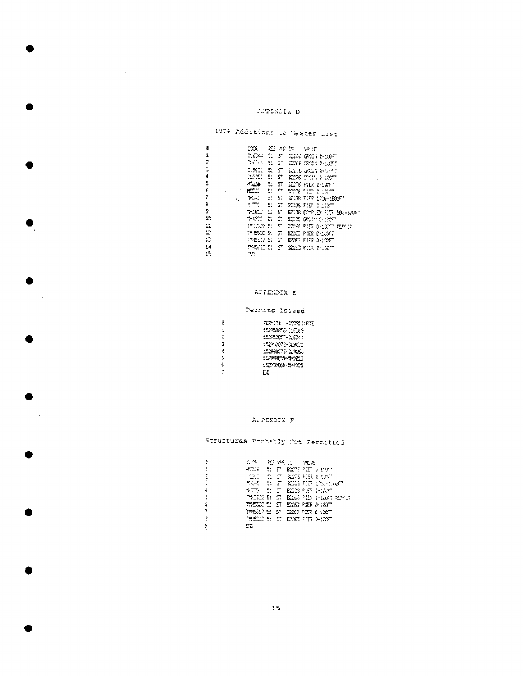#### APPENDIX D

 $\sim$   $\sim$ 

 $\sim$ 

 $\mathcal{L}_{\mathbf{r}}$ 

# 1976 Additions to Master List

| â          | COOL |  | 25 47 15 19 10 |                                       |
|------------|------|--|----------------|---------------------------------------|
| 1          |      |  |                | CLOSE EL ST EGGE DECHI E-LOUT         |
| î          |      |  |                | CLOSS IN STUDIOS CROIN & LOTT         |
| t.         |      |  |                | CLEAR ON EXTREMELY SHOWN              |
| ł.         |      |  |                | CLOCKS IN IT ROOMS TRIN 0-10077       |
| 5          |      |  |                | <b>PODE 11 ST E276 PIER 0-100FT</b>   |
| E          |      |  |                | MOSS SE ST BOOTS TERRITORY            |
| ŕ.<br>2016 |      |  |                | TASKE DE ST BEER PIER 1706-1800FT     |
| Ď.         |      |  |                | ಗಳ್ಳು ರಾಜಯ ಕಾರ್ಯಾಲಯ                   |
| s.         |      |  |                | האשר את הראשונים של בשאה האשר         |
| 12         |      |  |                | <b>THIS IS ST ELLIS DOWN BHOOT</b>    |
| Ħ.         |      |  |                | ా గ్రామం నుండి 12 కి.మీ. కి. నిరుచిగో |
| Ľ.         |      |  |                | THERE IS IN SECTION PER C-120FT       |
| B          |      |  |                | ಾನಲು ನಾಯಿ ರಾಜ್ಯ ರಾಜ್ಯ ರಾಜ             |
| 14         |      |  |                | ಿ ನ್ಯಾಸವಿದೆ. ಲಾಯಿಯ ಮಾಡಿ ಮಾಡಿ ಮೂರ್     |
| 15         | 20   |  |                |                                       |
|            |      |  |                |                                       |

 $\sim 10^{11}$ 

 $\bar{1}$ 

## APPENDIX E

# Permits Issued

| ē | הואו ממון - מון הש |
|---|--------------------|
|   | 15253656-0.629     |
| г | 1525367-0.044      |
| 2 | 15263072-0.9821    |
| 4 | 15296076-0.9000    |
| 5 | 1536869-9103       |
| £ |                    |
|   | Γr                 |

#### APPENDIX F

# Structures Probably Not Fermitted

| 1.<br>HOOSE IN IT ROME MIT SHOWER                             |  |
|---------------------------------------------------------------|--|
|                                                               |  |
| t<br><b>IN COUPLINE OF SIGNE POINT BECAUSE IN DESCRIPTION</b> |  |
| TO THE TURES IS AN ABOUT                                      |  |
| 4<br>WITS 51 57 BEEN PIRE E-1507                              |  |
| t.<br>TACKS I: ST KOG PIE HOGE KEEN                           |  |
| Ł<br>TARRAC SI STI BOOG PIER 2-130FT                          |  |
| 775617 51 57 6220 7158 0-1327                                 |  |
| B<br>THREE IS IN 1999 PIR PIRE                                |  |
| ۽<br>PC.                                                      |  |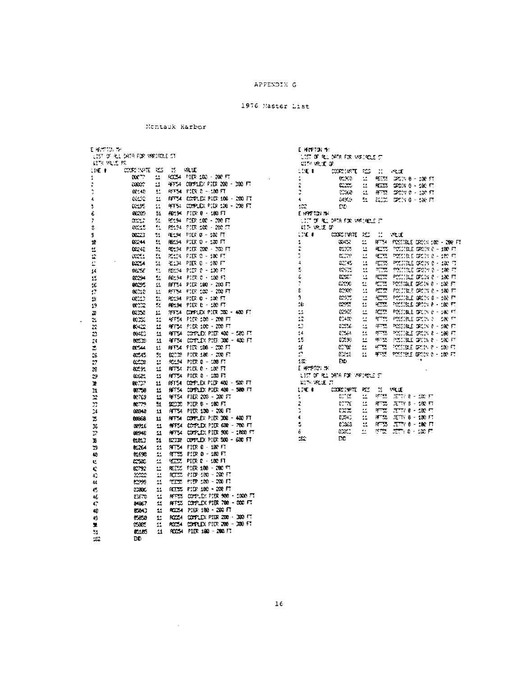#### APPENDIX G

## 1976 Master List

## Montauk Earbor

| nte vele re |                 |              |                       |                                                                    |
|-------------|-----------------|--------------|-----------------------|--------------------------------------------------------------------|
| 11 E F      | CORNEGATE .     | œ            | 15                    | <b>REL</b><br>50054 PIER 100 - 200 FT                              |
| 1           | KX T            | 11           |                       |                                                                    |
| î           | ಯಿಲ್            | и            |                       | AFFS4 000%LEX PIER 200 - 300 FT                                    |
| ţ           | 92.48           | 盐            |                       | REFS4 PIER 0 - 100 FT                                              |
| 4           | <b>City</b>     | $\mathbf{L}$ |                       | RFFA COPUES PIER 100 - 200 FT                                      |
| ţ           | 0.195           | 11           |                       | PETS: COMPLEX PIER 106 - 200 FT                                    |
| 6           | 0223            | 51           |                       | AB194 FIDR 0 - 100 FT                                              |
| 7           | <b>SCLE</b>     | 51           |                       | 92194 PIER 182 - 200 FT                                            |
| Ş           | cent            | 61           |                       | PC194 PIER 100 - 200 FT                                            |
| 9           | 0223            | /            | PE-194                | PIER 0 - 102 FT                                                    |
| 10          | 824             | 51           |                       | RELSA PIETRO - LOO FT                                              |
| ÷.          | GC-2            | 51           |                       | PS134 PIER 2012 - 2020 FT                                          |
| $\ddot{x}$  | $\alpha$        | 51           |                       | RG124 FIER 0 - 100 FT                                              |
| D           | <b>BIG54</b>    | 51           |                       | YELD PIER 0 - 100 FT                                               |
| 14          | 00.56           | 51           |                       | REMOVA PIER 0 - 100 FT                                             |
| 15          | 0224            | 51           | FC.54                 | $FIR:3 \times 130 \, F1$                                           |
| 10          | 8005            | 11           |                       | RFT54 PIER 100 - 200 FT                                            |
| ţ7          | 00:10           | 韭            |                       | P. 154 P. E. 100 - 200 FT                                          |
| 15          | 0012            | 51           |                       | PC194 PIER 0 - 130 FT                                              |
| 19          | œ               | 51           |                       | RELSA PIER B - 100 FT                                              |
| æ           | 63,50           | 1.           |                       | 3FF34 COMPLEX PIER 200 - 400 FT                                    |
| ż,          | $\alpha \infty$ | ۵ź           |                       | 49754 PIER 100 - 200 FT                                            |
| z,          | ≪≌              | 쑈            |                       | 第154 212 213 100 - 200 FT                                          |
| 끄           | 89420           | п            | ATT A                 | COPLEX PIER 400 - 580 FT                                           |
| 24          | 0.533           | $\mathbf{H}$ |                       | AFF54 CONTLEX PIER DOC - 400 FT                                    |
| z.          | 0.544           | 11           |                       | RF54 PIER 108 - 202 FI                                             |
| 26          | 8545            | 51           |                       | 82232 PIER 180 - 200 FT                                            |
| 27          | حثته            | μ            |                       | 90194 PIER 8 - 188 FT                                              |
| 28          | 80. SL          | 盆            | RFT H                 | PID 8 - 100 FT                                                     |
| 29          | 65.61           | 11           |                       | AFT54 PIER 8 - 100 FT                                              |
| r           | $\mathbf{R}$    | 11           |                       | NETSI CONFLEX PLD 400 - SAR FT                                     |
| 21          | 00.50           | п            |                       | HFT54 COMPLEX PIER 408 - 580 FT                                    |
| x           | 02769           | 益            |                       | 9FT54 PIER 200 - 200 FT                                            |
| n           | <b>BCTTS</b>    | м            |                       | SCOR PIER 6 - 180 FT                                               |
| 34          | 00340           | 11           |                       | AFF54 PIER 130 - 200 FT                                            |
| 25          | 60968           | 11           |                       | RETS4 COPPLEX PIER 300 - 400 FT<br>RFFS4 COVPLEX PIER 630 - 700 FT |
| 16          | 0271E           | ц            |                       |                                                                    |
| R           | 0694C           | $\mathbf{r}$ |                       | PFTS4 CORPLEX PIER 900 - 1800 FT                                   |
| Э           | 01813           | м            |                       | ECOR COMPLEX PIER \$00 - 600 FT                                    |
| 29          | 6264            | 益            |                       | RFT54 FIER 0 - 180 FT                                              |
| 40          | <b>01690</b>    | 盐            |                       | RTES PIER 0 - 180 FT                                               |
| e           | CSC.            | 盆            |                       | 97755、四次 2 - 182 月                                                 |
| ¢           | IC792           | 益            | <b>RECES</b>          | $9100 - 200 - 7$<br>PIER 180 - 200 FT                              |
| 43          | xx              | 11           | RI II                 |                                                                    |
| 44          | 82999           | 11           | ారావా                 | PP 130 - 202 FT<br>RIES FIR 100 - 200 FI                           |
| 45          | 3300            | 11           |                       |                                                                    |
| 46          | ESCTO           | 盆            | RF EST                | COMPLEX PIER 900 - 1000 FT                                         |
| 47          | 84857           | 11           | RFF 55                | COMPLEX PIER 700 - SOC FT                                          |
| 48          | 85043           | $\mathbf{r}$ |                       | RCC54 PIER 188 + 200 FT                                            |
| 49          | 65620           | 芸            | KYS4.<br><b>POCSA</b> | CONFLEX PIER 200 - 300 FT<br>CONPLEX PIER 2000 - 2000 FT           |
| ×.          | C.BC            | 11           |                       |                                                                    |

 $\mathcal{L}^{\text{max}}_{\text{max}}$  and  $\mathcal{L}^{\text{max}}_{\text{max}}$ 

| e hefta di                        |                                  |                          |                |                                           |  |  |  |  |
|-----------------------------------|----------------------------------|--------------------------|----------------|-------------------------------------------|--|--|--|--|
| LIST OF RLL DATE FOR VIRTIRDLE ST |                                  |                          |                |                                           |  |  |  |  |
| CITY VRIID OF                     |                                  |                          |                |                                           |  |  |  |  |
| LIE L                             | COOL: INSTE                      | 12                       | $\sim 12$      | $-1.5$                                    |  |  |  |  |
| ÷                                 | 01000                            | $\equiv$                 | <b>ACCES</b>   | DROIN 8 - 138 FT                          |  |  |  |  |
| ĵ                                 | ಐಜ                               | $\overline{\phantom{a}}$ | <b>RECEIVE</b> | CROIN 6 - 100 FT                          |  |  |  |  |
|                                   | 2000-                            | 丝                        | $\mathbf{r}$   | ದಿನಿಯ ಕಂಚಿನ ಗ                             |  |  |  |  |
| 4                                 | 049.34                           | 학.                       | لتتنفذ         | $-520\%$ $0 - 650$ $F5$                   |  |  |  |  |
| $\mathbb{C}^2$                    | DD.                              |                          |                |                                           |  |  |  |  |
| E HAT WITH                        |                                  |                          |                |                                           |  |  |  |  |
|                                   | OUT OF RUL DATA FOR VARIABLE IT  |                          |                |                                           |  |  |  |  |
| 打下 脱速的                            |                                  |                          |                |                                           |  |  |  |  |
| LTE 4                             | 378''3000                        |                          | ≈ು∷            | <b>RIE</b>                                |  |  |  |  |
| 1                                 | 30452                            | $\mathbf{L}$             |                | RT54 POSSIBLE CROIS 100 - 200 FT          |  |  |  |  |
| Ş                                 | 51. JUNE                         | п                        | ÆБ.            | POLISLE SPOIN 0 - 100 FT                  |  |  |  |  |
| þ                                 | E TAL.                           | Ŀ.                       |                | SEE POSSES OCH 8 - 100 FT                 |  |  |  |  |
| 4                                 | and .                            | ÷.                       |                | REED POSSEL CACTE 0 - 100 T               |  |  |  |  |
| Ę.                                | <b>COST</b>                      | $\mathbf{H}$             |                | $PIIIZ$ $PIIIZL$ $GQIIZ$ $P=100$ $F$      |  |  |  |  |
| ٤                                 | <b>LEE</b>                       | ì.                       |                | REEK POSIBLE ORDN 0 - 100 FT              |  |  |  |  |
| Ĩ,                                | CODE:                            | ż.                       |                | <b>THE POSSAIL DECIME - 100 FT</b>        |  |  |  |  |
| Ė                                 | <b>code</b>                      | Ŀ,                       |                | REE FOLIDE DRUN 8 - 180 FT                |  |  |  |  |
| 9                                 | <b>CODE</b>                      | ₫                        |                | RETS POLICE GOING - 100 FT                |  |  |  |  |
| 16                                | ಜನ                               | $\mathbf{r}$             | <b>RECO</b>    | <b>POSSIBLE GROSS R - 100 FT</b>          |  |  |  |  |
| 11                                | <b>COST</b>                      | 丝                        |                | RESERVATIBLE DOUBLE - 180 FT              |  |  |  |  |
| 42                                | <b>C1-20</b>                     | ż,                       |                | <b>ATTS POSSIBLE COOK 2</b><br>$220 -$    |  |  |  |  |
| 13                                | 22.76                            | $\mathbb{Z}^+$           |                | <b>AFTER POSSIBLE SKON 0 - SBC ET</b>     |  |  |  |  |
| $\mathbf{14}$                     | 1254                             | $\mathbf{H}^{\dagger}$   |                | <b>RTEL POSSIBLE SPOIN 8 - 188 FT</b>     |  |  |  |  |
| 15                                | 63393                            | £.                       |                | 年5天 - POSSIBLE GRON & - 180 FT            |  |  |  |  |
| Ľf.                               | CD TOP                           | $\mathcal{L}$            |                | $97\%$ , results are $P$ - 100 $P$        |  |  |  |  |
| ż,                                | 82215                            | $\mathbf{H}$             |                | WEST POSSIBLE GROUND - 100 FT<br>÷ŧ.      |  |  |  |  |
| 18.                               | ĐØ.                              |                          |                |                                           |  |  |  |  |
| Е нарточик.                       |                                  |                          |                |                                           |  |  |  |  |
| NITS WELL IT                      | LIST OF RLL DATA FOR VARIABLE ST |                          |                |                                           |  |  |  |  |
| LIKE #                            | CORNER TE                        | æ                        | -15            | <b>INNER</b>                              |  |  |  |  |
| ٠                                 | 的位                               | u.                       | <b>PTTS</b>    | ្ទុះព្រះខ្មែរ រូប ព្រះ                    |  |  |  |  |
| 2                                 | mat.                             | Ŧ,                       | RTE.           | $T$ $T$ $T$ $t$ $t$ $t$ $T$ $T$ $T$       |  |  |  |  |
| þ                                 | <b>PPE</b>                       | ż.                       | <b>RTE 1</b>   | <b>TIME - 180 FT</b>                      |  |  |  |  |
| 4                                 | <b>BEAC</b>                      | 44                       |                | 市"既 范"下 8 - 180 円                         |  |  |  |  |
| ś                                 | 0243                             | tá.                      | RT.            | $T_{\rm eff}$ and $\theta$ = 180 $\pm$ 17 |  |  |  |  |
| é.                                | 03813                            | 兰                        | ನನ್ನು 1        | ಪರಾರಿ - ಯಾಗ                               |  |  |  |  |
| x                                 | DC.                              |                          |                |                                           |  |  |  |  |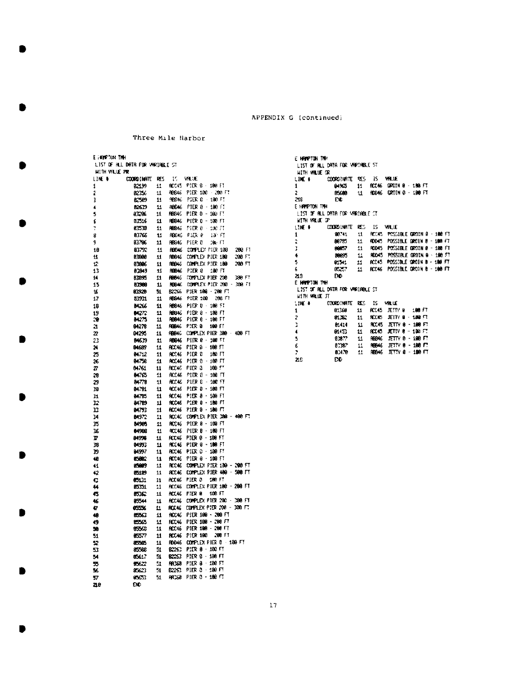Ŷ,

216

 $0.436$ 

 $\mathbf{P}$ 

Three Mile Harbor

| e fonfylin tinh                                   |                    |              |                        |                                    |
|---------------------------------------------------|--------------------|--------------|------------------------|------------------------------------|
| LIST OF HLL DATA FOR VARIABLE ST<br>NITH VALUE PR |                    |              |                        |                                    |
| LINE U                                            | <b>COORD IMATE</b> | RES.         | 15                     | VALUE                              |
| 1                                                 | 82139              | 11           | acci S                 | PIER 9 -<br>180 FT                 |
| 1                                                 | 0236               | 11           | 40946                  | PIER 100 - 200 FT                  |
| ţ                                                 | 62589              | 11           | 98546                  | PSER 0 - 100 FS                    |
| 4                                                 | <b>B25T9</b>       | 11           | <b>RB646</b>           | PIER 8 - 100 F.Y                   |
| 5                                                 | 83296              | 11           | <b>FEBAS</b>           | PIER 9 - 100 FT                    |
| ſ                                                 | 83516              | $\mathbf{u}$ | <b>FBB46</b>           | PIER 0 - 130 FT                    |
| 7                                                 | 63513              | 11           | RBB45                  | PIER 0<br>- 130 71                 |
| 8                                                 | 83766              | ı.           | PBE46                  | PIER 9<br>ia in                    |
| 9                                                 | 83706              | 11           | <b>FEB46</b>           | PIER 0<br>16. FT                   |
| 10                                                | 83792              | 11           | HBB45                  | COMPLEY PHER 108<br>280 FT         |
| Ľ                                                 | 83880              | 11           | <b>RBB46</b>           | COMPLEX PIER 180<br>200 FT         |
| 12                                                | 03965              | 11           | <b>RBB16</b>           | COMPLEX PIER 100<br>200 FT         |
| 13                                                | 03849              | п            | FEB46                  | PIER 8<br>100 FT                   |
| 14                                                | 83895              | 11           | <b>FBB46</b>           | DON'T LEX PIER 200<br>380 FT       |
| £5                                                | 83988              | 11           | RBB4C                  | COMPLEX PIER 200 -<br>300 FT       |
| ١ĸ                                                | 8320               | 51           | B2266                  | PIER 100 - 200 FT                  |
| 17                                                | 53931              | 11           | <b>RED-16</b>          | PIER 100<br>200 FT                 |
| 18                                                | <b>B4266</b>       | 11           | <b>RBB45</b>           | PIER B -<br>188.57                 |
| 19                                                | <b>M272</b>        | п            | <b>RBB46</b>           | PIER 8 - 188 FT                    |
| 30                                                | 84275              | 11           | PBB46                  | PIER 0 - 100 FT                    |
| 21                                                | 84278              | 11           | <b>REBAG</b>           | PIER 0<br>189 FT                   |
| 22                                                | 04295              | 11           | <b>FRE40</b>           | COMPLEX PIER 198 406 FT            |
| 23                                                | <b>MGT9</b>        | 11           | <b>PBB46</b>           | PIER 0 - 100 FT                    |
| 24                                                | 84539              | 11           | <b>PCC46</b>           | pter b<br>$\bar{z}$<br>188 FT      |
| 25                                                | 04712              | 11           | <b>RCC16</b>           | pier d<br>180 FT                   |
| 26                                                | 84758              | 11           | RCC46                  | pier 9<br>$-100 FT$                |
| 77                                                | <b>B4761</b>       | 11           | ACC46                  | 100.57<br>PIER 3                   |
| 29                                                | 84765              | 11           | HCC46                  | SIER B<br>$-100$ $\Pi$             |
| 29                                                | 84778              | $\mathbf{u}$ | HCC46                  | PIER B<br>- 100 FT                 |
| 39                                                | 04.81              | 11           | ACC 46                 | PIDR 8 - 189 FT<br>PIER 8 - 100 FT |
| 11                                                | 84795<br>84789     | 11<br>11     | 90. KE<br><b>RCCAS</b> | PIER 9 - 100 FT                    |
| r<br>n                                            | 84793              | 11           | ACC46                  | PIER 9 - 180 FT                    |
| 14                                                | 04972              | 11           | <b>RCC46</b>           | COMPLEX PIER 2008 - 400 FT         |
| 15                                                | 54595              | 11           | RCC 16                 | PIER 8 - 109 FT                    |
| 35                                                | 64968              | 11           | 80046                  | PIER 0 - 100 FT                    |
| P                                                 | 84998              | 11           | PCC46                  | PIER 0 - 100 FT                    |
| 38                                                | 04993              | 11           | <b>ACC 46</b>          | PIER 9 - 188 FT                    |
| 19                                                | 84597              | 11           | <b>RCC46</b>           | PIER 0 - 100 FT                    |
| œ                                                 | <b>CALC</b>        | 11           | <b>RCC46</b>           | PIER 8 - 100 FT                    |
| 41                                                | 05009              | 11           | <b>RCCAS</b>           | COMPLEX PIER 100 - 200 FT          |
| 42                                                | 05189              | 11           | <b>ACCAS</b>           | COMPLEX PIER 400 - 500 FT          |
| C                                                 | 85131              | 11           | <b>ACC16</b>           | FIER O<br>180 FT                   |
| 44                                                | <b>DSM</b>         | 11           | ACC 46                 | COMPLEX PIER 180 - 200 FT          |
| 43                                                | 助论                 | 11           | ADI40                  | 108 FT<br>PIER B                   |
| 46                                                | 85544              | 11           | <b>ACC46</b>           | COMPLEX PIER 200 - 380 FT          |
| 47                                                | 6336               | п            | <b>RCC46</b>           | complex pier 200 -<br>330 F.       |
| 48                                                | 85563              | $\mathbf{H}$ | HCC46                  | PIER 100 - 200 FT                  |
| 49                                                | 15565              | 11           | <b>RCC46</b>           | PIER 100 - 200 FT                  |
| 59                                                | 85563              | 11           | <b>RCC46</b>           | PTER 100 - 200 FT                  |
| 51                                                | 85577              | 11           | RCCA6                  | PIER 100<br>200 FT                 |
| 22                                                | 8555               | 11           | <b>RDD46</b>           | COMPLEX PIER 0 189 FT              |
| 53                                                | 85562              | Ŝİ           | 82 C                   | PITR 0 - 180 FT                    |
| 54                                                | 05617              | 51           | <b>RCCC</b>            | PIER 0 - 196 FT                    |
| 55                                                | 5622               | 51           | <b>PRO60</b>           | PIER 8 - 100 FT                    |
| 56                                                | 85623              | 51           | 82 C                   | PIER 8 -<br>180 FT                 |
| 7                                                 | 95653              | 51           | AR258                  | PIER 0 - 100 FT                    |
| 218                                               | Đ٥                 |              |                        |                                    |

```
E HAMPTON THE
 LIST OF ALL DATA FOR VARIABLE ST
 HITH WILLIE OR
            COORDINATE RES IS WHULE<br>04965 11 ACCA6 GROIN 0 1808-FT<br>05600 11 ADD46 GROIN 0 1800-FT
LINE &
\mathbf{1}\overline{2}218\overline{E}E HAPPTON THE
 LIST OF ALL DATA FOR VARIABLE CT.
 WITH VIELE OF
             LINE #
\pmb{1}t,
Ţ
                  8857
                           11 RODAS POSSIBLE GROIN 0 - 180 FT
                  8885
                           11 RODAS POSSIBLE GROIN 8 - 198 FT
\ddot{\phantom{0}}11 ACC45 POSSIBLE GROIN B - 180 FT
\overline{5}01541
\pmb{\xi}0.35711 RODAS POSSIBLE DROIN B 100 FT
23ĐĎ
E HAPPTON THE
 list of rel data for variable st
 HITH WALLE JT
              STREA
\mathbf{I}11 RCC45 JETTY 8 188 FT
                 8102\overline{2}RCC45 JETTY 8 - 108 FT<br>RCC45 JETTY 8 - 108 FT
þ
                  81414
                            \pmb{\mathfrak{u}}\ddot{\bullet}01453
                           \mathbf{11}RBB46 JETTY 0 - 198 FT
\bar{\mathbf{5}}63677
                           \pmb{\mathfrak{u}}\frac{11}{11}RB46 JETTY 8 - 188 FT
\pmb{\epsilon}0.367
```
**ЛЕВНА** ЛЕТТУ В 100 ГТ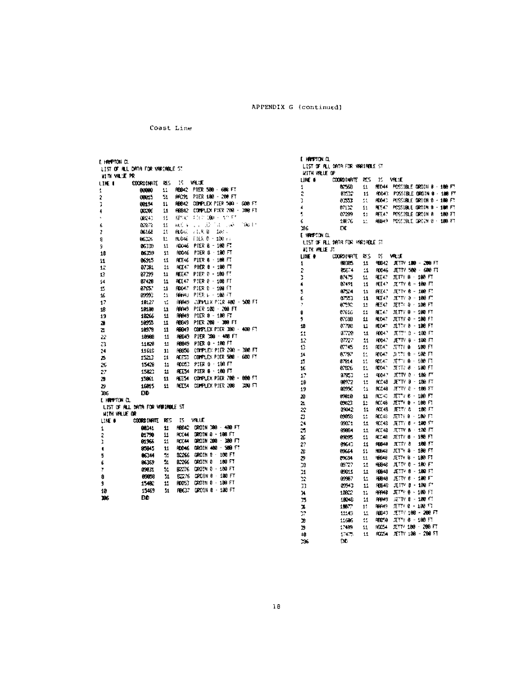Coast Line

**IS VALLE** 

RBB42 PIER 580 - 680 FT

PRC91 PIER 100 - 200 FT

 $8P(C, 251, 100 + 50.57)$ 

 $\langle \phi_{\ell+1} \rangle$  ), (1, 2, 1, 2, 2, 2, 3)

**RIGHT TILK B** 100 L

80046 FIER 6 - 100 mi

RDD46 PIER B - 180 FT

R0046 PIER 8 - 198 FT

REE46 PIER 6 - 100 FT

REE47 PIER 0 - 180 FT

AFFAT PIFR A - 100 FT

ADD47 PIER 0 - 100 FT

**GRANT PIER L. - 180 FT** 

RRAS PIER 180 - 200 FT

PHER 8 - 198 FT

HHH49 COMMULX PICR 480 - 500 FT

PIER 8 - 100 FT

PIER 200 - 300 FT

FIER 300 - 408 FT

PIER 0 - 180 FT

PIER 0 - 198 FT

REEST COMPLEX PIER 700 - 800 FT

REES4 COMPLEX PIER 200 200 FT

**REES4 PIER 6 - 100 FT** 

RBB42 DROZN 300 - 480 FT

90066 GROIN 8 100 FT

RBC37 DR01N B - 180 FT

DROIN 8 - 186 FT

GROIN 200 - 300 FT

GROIN 480 - 509 FT

ORDIN 8 180 FT

DROTH 0 - 100 FT

GROUN B - 180 FT

CRO1N 8 - 100 FT

COMPLEX PIER 380 - 408 FT

COFFLEX PIER 200 - 300 FT

CONFLEX PIER 508 - 600 FT

RBB42 COMPLEX PIER 500 · 600 FT

RES42 COMPLEX PIER 298 - 308 FT

100 L.

F HAPTON CL

LIKE I

÷

 $\mathbf{r}$ 

в

 $\overline{1}$ 

K.

ż

 $\overline{\mathbf{S}}$ 

9

18

 $\mathbf{11}$ 

12

13

 $^{14}$ 

 $\mathbf{t}$ 

16

 $17$ 

18

 $\overline{19}$ 

ä

 $\overline{\mathbf{z}}$ 

 $\bar{\omega}$ 

ិរ<br>វី<br>វី

26

 $27\,$ 

 $2\mathsf B$ 

B

186

LUE #

1

Ì

¢

5

Ġ

8

٩

10

196

E HAPTON CL

HITH VALUE OR

**WITH VALUE PR** 

LIST OF ALL DATA FOR VANIABLE ST

**COORDINATE RES** 

 $\Omega$ 

51

 $\mathbf{11}$ 

 $\pmb{\mathfrak{u}}$ 

 $\mathbf{1}^4$ 

 $\pmb{11}$ 

 $\pm 1$ 

 $\mathbf{L}$ 

 $\pmb{11}$ 

 $11\,$ 

 $\mathbf{11}$ 

 $11$ 

 $11$ 

 $11\,$ 

 $\pmb{\mathsf{11}}$ 

 $\mathbf{11}$ 

 $\mathbf{t}^{\prime}_4$ 

 $11\,$ 

 $\pmb{\mathfrak{u}}$ **NAM9** 

 $11\,$ 80849

 $\mathbf{11}$ 60049

 $\mathbf u$ 

 $\bar{\mathbf{u}}$ **RB949** 

 $\mathbf{1}1$ 

 $11$ RDDG3

 $\mathbf{H}$ 

 $\pmb{11}$ 

 $\bar{\mathbf{H}}$ 

 $\mathbf{u}$ 

 $\pmb{\mathfrak{u}}$ **ROOM** 

 $\mathbf{H}$ **RTM** 

 $\mathbf{1}\mathbf{1}$ 

 $\mathfrak{U}$ 

 ${\bf 1}$ B2266

 $\mathbb{S}^4$ 

 $\mathbf{\hat{z}}$ 

 $\Omega$ 

51

BEE47

88049

FBB50

ADES:  $\Omega$ 

IS VALUE

**ROOMS** 

B226

6276

**FDD53** 

88000

00015

00194

 $00200$ 

 $00040$ 

82978

06168

86326

06JR

06259

06915

07381

87399

07428

87657

89993

1812?

10180

18266

10955

109.8

19968

11828

11610

15213

15429

15023

15861

16015

ÐЪ

list of All Data for Variable St.

**COORDINATE RES** 

GAT41

01790

01966

85945

6544

86369

890 M

89058

15482

15469

**DD** 

E HAMPTON CL

LIST OF ALL ORTH FOR VARIABLE ST WITH VILLE OP COORDING TE RES **IS VIEW**  $1116 +$ ROMA POSSIBLE GROIN 8 - 100 FT nesa.  $11 \overline{\mathbf{1}}$ RODAS POSSIBLE ORDIN 9 - 100 FT ÷ 83532 11 ROMO POSSIBLE OROIN 8 - 100 FT  $\mathbf{B}$  $0.557$  $\pm 1$  $\overline{1}$ 67102  $\bar{1}1$ RESAR POSSIBLE GROIN 8 - 100 FT 5 07299  $41 -$ RELA? POSSIBLE DROIN 8 180 FT K. 19276 R6949 POSSIBLE GROUN 0 - 188 FT  $11^\circ$ 26 **DE** E HAPTON CL LIST OF RLL DATA FOR VARIABLE ST WITH VALUE JT **COORDINATE RES IS VIELE UNE #**  $-0.05$ 98642 JETTY 180 - 200 FT  $44 \mathbf{1}$ ROD46 JETTY 500 - 600 FT **BSE**<sup>+</sup>4  $\overline{c}$ 11 NEE47 JETTY 8 - 100 FT 87475  $\mathbf{H}$ Þ  $\blacklozenge$ 87491  $\mathbf{H}$ REE47 JETTY 8 - 100 FT 5 87524  $11\,$ **REEAT JETTY 8 - 100 FT** 0.553 PCE47  $J\Gamma T V = -100 F$  $\mathbf{f}_i$  $\boldsymbol{11}$ ÿ 0.592 RE547 JETTY 0 - 100 FT  $\Omega$ JETTY 9 - 100 FT  $\pmb{0}$ 07615 **BE47**  $\pm 5$ JETTY 0 - 180 FT Ą 0758 RIOS?  $\pm$ 10 JETTY 0 - 100 FT 07702 **ROM?** 11 **R0047**  $R$   $T$ "  $\beta$  - 100  $R$ 07229  $\pmb{11}$  $\mathbf{u}$ RODA? JETTY 6 - 180 FT  $12$ 87727  $11\,$  $\mathbf D$ 87245  $\mathbf{11}$ ROL. STETY 8 100 FT  $0.787$ ROAT JETTY 8 - 100 FT  $\bf 14$  $11$  $\overline{15}$ 07914 90047 JETT 8 - 100 FT  $\bar{\mathbf{1}}^{\mathbf{1}}_{\mathbf{1}}$  $16\,$  $0.826$  $\bar{11}$ ROM.  $27.177.8 - 180.57$ 97953  $\Omega$  $9842$ JETTY 0 - 189 FT  $12$ 88972 PCC48 JETY 0 - 130 FT 18  $11$ 8099C **RCC48** JETY  $8 - 196$  FT 19 45. RCAC JETTY 8 - 188 FT æ 8931A  $11\,$  ${\bf a}$ 09222 Ŀ. BODAR JETTY B - 199 FT JETTY 8 180 FT 00042  $11$ PCT48  $\mathbb{Z}^2$ 09059 IJ  $\mathcal{L}^{\bullet}$ 80048 JETTY 8 - 180 FT JETT/ 8 - 198 FT  $\mathbf{\hat{z}}$ gont - $\mathbf{H}$ annus. ACC48 JETTY B 130 FT 25 00004  $\pmb{11}$ 8248 JETTY 6 - 198 FT  $\rm z$ 09295  $\pm\frac{1}{2}$ 27 69643  $\mathbf{11}$ 90040 JETTY 8 186 FT **ВЕКА** JETTY 8 - 180 FT  $\bar{x}$ 0564  $\bar{\mathbf{H}}$  $\overline{c}$ 89634  $11\,$ 90048 JETTY 8 - 180 FT 50 09727  $\bar{\mathcal{M}}$ 42848  $JUV 0 - 189 F$  $\overline{\bf{M}}$ 09911 9649 JETTY 8 - 180 FT  $\pmb{\mathfrak{u}}$  $\frac{1}{12}$ REB48 JETTY 8 - 100 FT 09987 Ł. 98648 JETTY 8 - 198 FT 0943  $\mathfrak{U}$ 10022 **NYMB** JETTY 6 - 100 FT 11  $\mathbf{M}$ **JETTY 8 - 188 FT RFM9** 35 18048 44  $1007$ SETTY 8 - 180 17 **REGAS**  $\frac{1}{2}$  $+4$ SUPPL 100 - 200 FT RB 49 12143 A.  $277'8 - 180$  FT 9859 X 11695  $\mathcal{L}^{\bullet}_{\bullet}$ ROCEA JETTY 180 - 200 FT  $\bf 3$ 17489  $\mathbf{\mathbf{11}}$  $40$ 17475  $\mathbf{u}$ RODS4 JETTY 188 - 200 FT 236 ĐĐ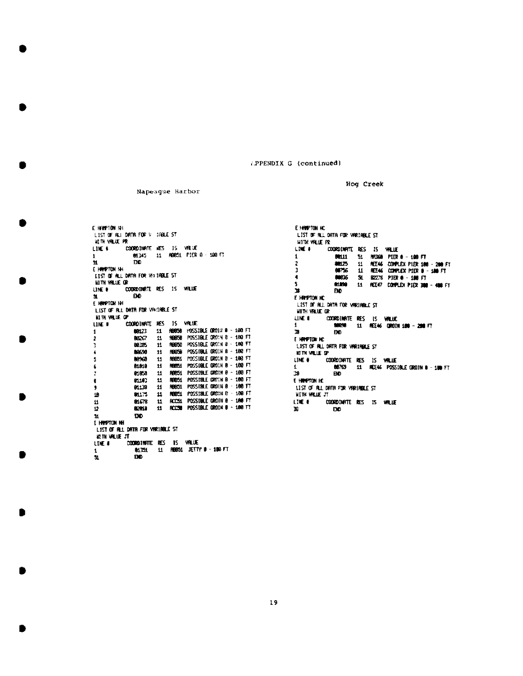(.PPENDIX G (continued)

E HAPTON NH LIST OF RJ DATR FOR V. (RBLC ST HETH VALUE PR LIKE 6 COORDINATE RES 15 VRLUE 01345 11 ROB51 PIER 0 100 FT 1 ч. DD. E HWPTON NH LIST OF ALL DRIVE FOR VELTABLE ST **WITH VALUE OR** COORDINATE RES 15 VALUE UNE # ĐĐ. 生. E HEMPTON IN LIST OF R.L. DRTR FOR VANIABLE ST **NETH VILLE OF CORDINATE RES** IS VALUE **LIKE B** 11 88858 POSSIBLE 0R01# 0 - 100 FT 60123 1 19858 POSSIBLE OR01N 8 - 100 FT 8037  $\mathbf{u}$  $\mathbf{r}$ ROBSO POSSIBLE GROIN 0 - 100 FT ı 80385  $11$ RBBSG POSSIBLE ORDIN B - 100 FT  $\ddot{\phantom{1}}$ 89590  $\mathbf{11}$ 80960 R6051 POSSIBLE GROIN B - 100 FT  $\overline{\mathbf{5}}$  $\mathbf{u}$ REIER1 POSSIBLE 0R01N B - 180 FT 01019  $\mathbf{11}$ 6 R9851 POSSIBLE GROIN 8 - 180 FT 01050  $\mathbf{z}$  $11$ **RED51** POSSIBLE CRITIN B - 100 FT ¢ 01103 44 REGIS1 POSSIBLE GROTH 0 - 180 FT  $\mathbf{11}$ 9 01130 REES1 POSSIBLE GROIN B - 100 FT 19 81175  $11$ ROCS1 POSSIBLE GROTN 0 - 180 FT П 81578  $\mathbf{u}$ RCC38 POSSIBLE GROIN 0 - 188 FT ē **E26U**  $\mathbf{11}$ ĐĐ. м E HANPTON NH LIST OF ALL DATA FOR VARIABLE ST **RETH WILLIE JT** "<br>Coordinate RES 15 value<br>- 01351 11 Regis Jetty 0 - 100 ft LINE #  $\mathbf 1$  $\mathbf{H}$ ĐĐ.

Napeague Harbor

E HANDYTON HC. LIST OF ALL DATA FOR VARIABLE ST HITH VALUE PR COORDINATE RES IS VALUE **LIKE #** 00111 **RR368 PIER 8 - 199 FT** 1 51 細芯  $\pmb{\mathfrak{u}}$ RE46 CONPLEX P18R 100 - 200 FT 2 t 66756 11 REE46 CONPLEX PEER B - 188 FT  $\blacksquare$ 8005 51 82276 PIER 0 - 100 FT  $\overline{\mathbf{5}}$ 61.890 11 REE47 COMPLEX PIEX 300 - 408 FT  $\mathbf{H}$ FM<sub>D</sub> E HRYPTON HC list of ril data for variable st **WITH VALUE OR** .<br>Coordinate res is value.<br>198298 11 res46 grotn(188 – 200 ft **LINE 6**  $\mathbf{1}$  $\mathbf{A}$ mn E HREPTON HC LIST OF ALL DATR FOR VARIABLE ST **KITH VILLE OF** .<br>Coordinate RES IS Willie<br>188769 11 Ree46 Possible Groth 0 - 100 FT LINE #  $\mathbf{I}$  $\mathbf{B}$ **EVD** E HIMPTON HC LEST OF ALL DATA FOR VARIABLE ST WITH VILLE JT LINE # **COORDINATE RES IS WILLE** R. DO.

Hog Creek

19